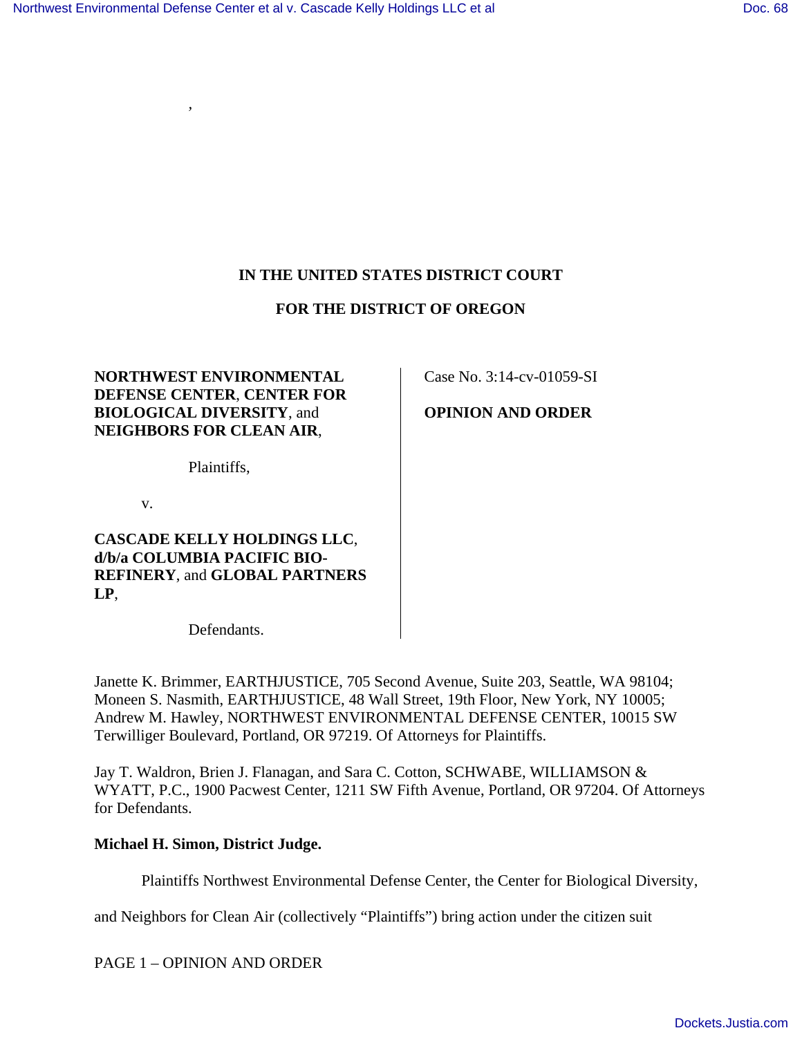*,* 

## **IN THE UNITED STATES DISTRICT COURT**

## **FOR THE DISTRICT OF OREGON**

## **NORTHWEST ENVIRONMENTAL DEFENSE CENTER**, **CENTER FOR BIOLOGICAL DIVERSITY**, and **NEIGHBORS FOR CLEAN AIR**,

Case No. 3:14-cv-01059-SI

## **OPINION AND ORDER**

Plaintiffs,

v.

**CASCADE KELLY HOLDINGS LLC**, **d/b/a COLUMBIA PACIFIC BIO-REFINERY**, and **GLOBAL PARTNERS LP**,

Defendants.

Janette K. Brimmer, EARTHJUSTICE, 705 Second Avenue, Suite 203, Seattle, WA 98104; Moneen S. Nasmith, EARTHJUSTICE, 48 Wall Street, 19th Floor, New York, NY 10005; Andrew M. Hawley, NORTHWEST ENVIRONMENTAL DEFENSE CENTER, 10015 SW Terwilliger Boulevard, Portland, OR 97219. Of Attorneys for Plaintiffs.

Jay T. Waldron, Brien J. Flanagan, and Sara C. Cotton, SCHWABE, WILLIAMSON & WYATT, P.C., 1900 Pacwest Center, 1211 SW Fifth Avenue, Portland, OR 97204. Of Attorneys for Defendants.

## **Michael H. Simon, District Judge.**

Plaintiffs Northwest Environmental Defense Center, the Center for Biological Diversity,

and Neighbors for Clean Air (collectively "Plaintiffs") bring action under the citizen suit

PAGE 1 – OPINION AND ORDER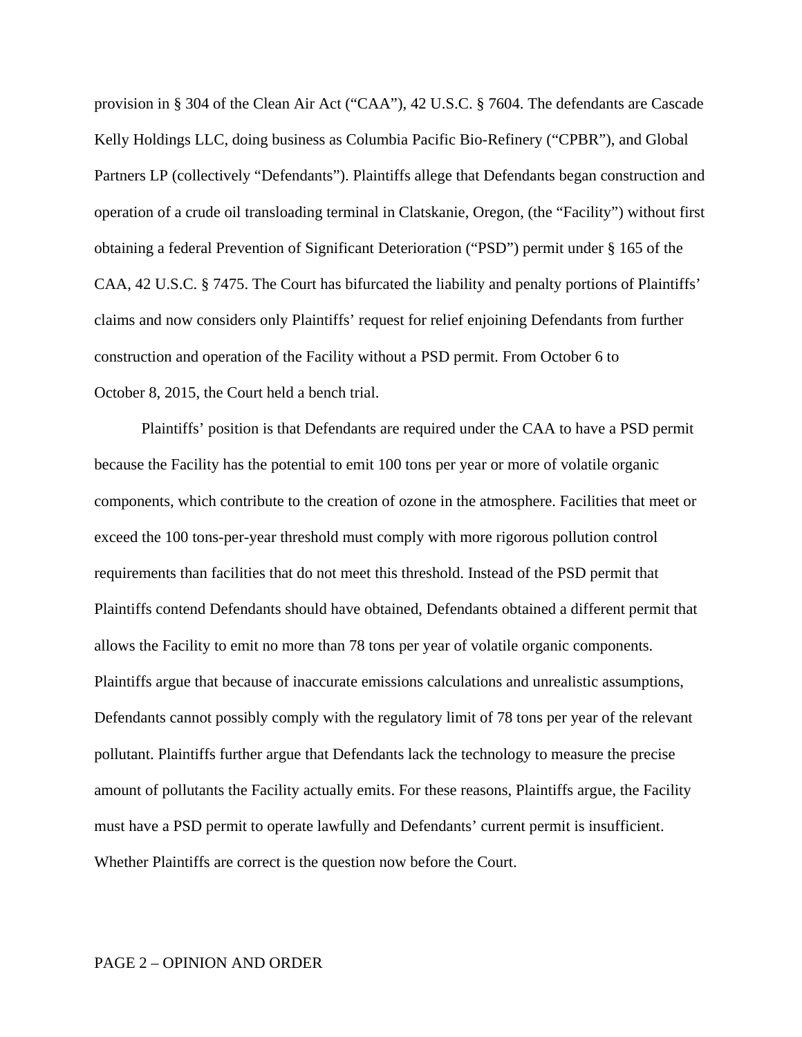provision in § 304 of the Clean Air Act ("CAA"), 42 U.S.C. § 7604. The defendants are Cascade Kelly Holdings LLC, doing business as Columbia Pacific Bio-Refinery ("CPBR"), and Global Partners LP (collectively "Defendants"). Plaintiffs allege that Defendants began construction and operation of a crude oil transloading terminal in Clatskanie, Oregon, (the "Facility") without first obtaining a federal Prevention of Significant Deterioration ("PSD") permit under § 165 of the CAA, 42 U.S.C. § 7475. The Court has bifurcated the liability and penalty portions of Plaintiffs' claims and now considers only Plaintiffs' request for relief enjoining Defendants from further construction and operation of the Facility without a PSD permit. From October 6 to October 8, 2015, the Court held a bench trial.

Plaintiffs' position is that Defendants are required under the CAA to have a PSD permit because the Facility has the potential to emit 100 tons per year or more of volatile organic components, which contribute to the creation of ozone in the atmosphere. Facilities that meet or exceed the 100 tons-per-year threshold must comply with more rigorous pollution control requirements than facilities that do not meet this threshold. Instead of the PSD permit that Plaintiffs contend Defendants should have obtained, Defendants obtained a different permit that allows the Facility to emit no more than 78 tons per year of volatile organic components. Plaintiffs argue that because of inaccurate emissions calculations and unrealistic assumptions, Defendants cannot possibly comply with the regulatory limit of 78 tons per year of the relevant pollutant. Plaintiffs further argue that Defendants lack the technology to measure the precise amount of pollutants the Facility actually emits. For these reasons, Plaintiffs argue, the Facility must have a PSD permit to operate lawfully and Defendants' current permit is insufficient. Whether Plaintiffs are correct is the question now before the Court.

#### PAGE 2 – OPINION AND ORDER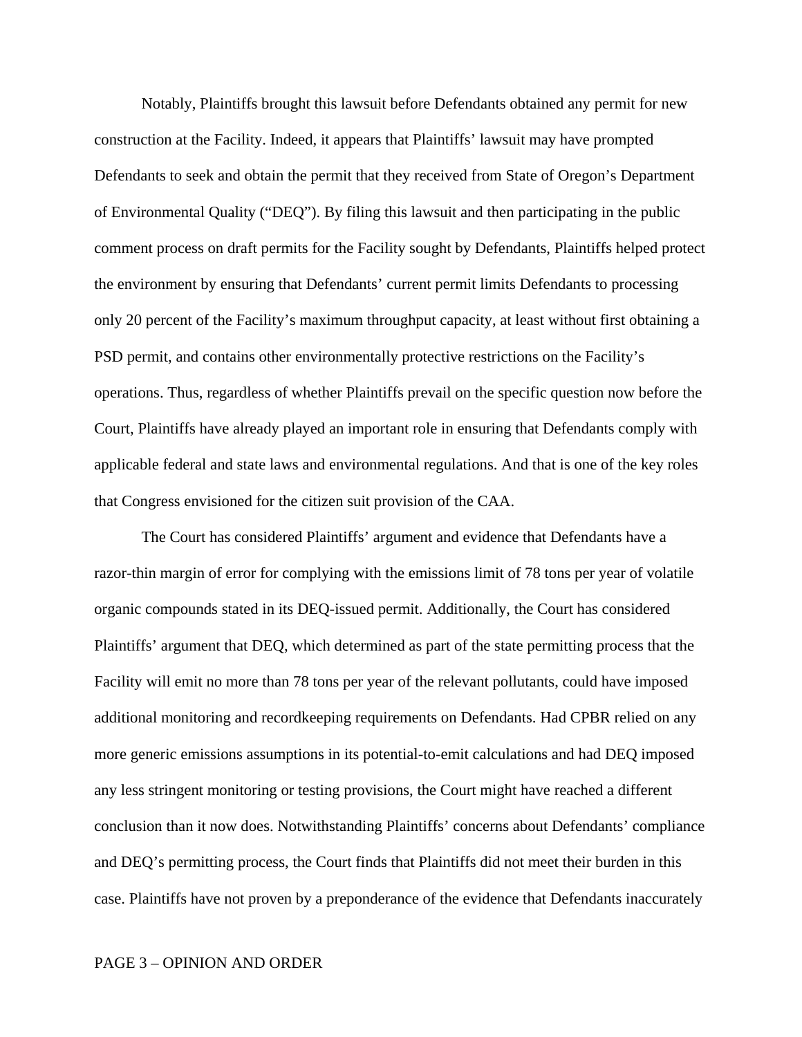Notably, Plaintiffs brought this lawsuit before Defendants obtained any permit for new construction at the Facility. Indeed, it appears that Plaintiffs' lawsuit may have prompted Defendants to seek and obtain the permit that they received from State of Oregon's Department of Environmental Quality ("DEQ"). By filing this lawsuit and then participating in the public comment process on draft permits for the Facility sought by Defendants, Plaintiffs helped protect the environment by ensuring that Defendants' current permit limits Defendants to processing only 20 percent of the Facility's maximum throughput capacity, at least without first obtaining a PSD permit, and contains other environmentally protective restrictions on the Facility's operations. Thus, regardless of whether Plaintiffs prevail on the specific question now before the Court, Plaintiffs have already played an important role in ensuring that Defendants comply with applicable federal and state laws and environmental regulations. And that is one of the key roles that Congress envisioned for the citizen suit provision of the CAA.

The Court has considered Plaintiffs' argument and evidence that Defendants have a razor-thin margin of error for complying with the emissions limit of 78 tons per year of volatile organic compounds stated in its DEQ-issued permit. Additionally, the Court has considered Plaintiffs' argument that DEQ, which determined as part of the state permitting process that the Facility will emit no more than 78 tons per year of the relevant pollutants, could have imposed additional monitoring and recordkeeping requirements on Defendants. Had CPBR relied on any more generic emissions assumptions in its potential-to-emit calculations and had DEQ imposed any less stringent monitoring or testing provisions, the Court might have reached a different conclusion than it now does. Notwithstanding Plaintiffs' concerns about Defendants' compliance and DEQ's permitting process, the Court finds that Plaintiffs did not meet their burden in this case. Plaintiffs have not proven by a preponderance of the evidence that Defendants inaccurately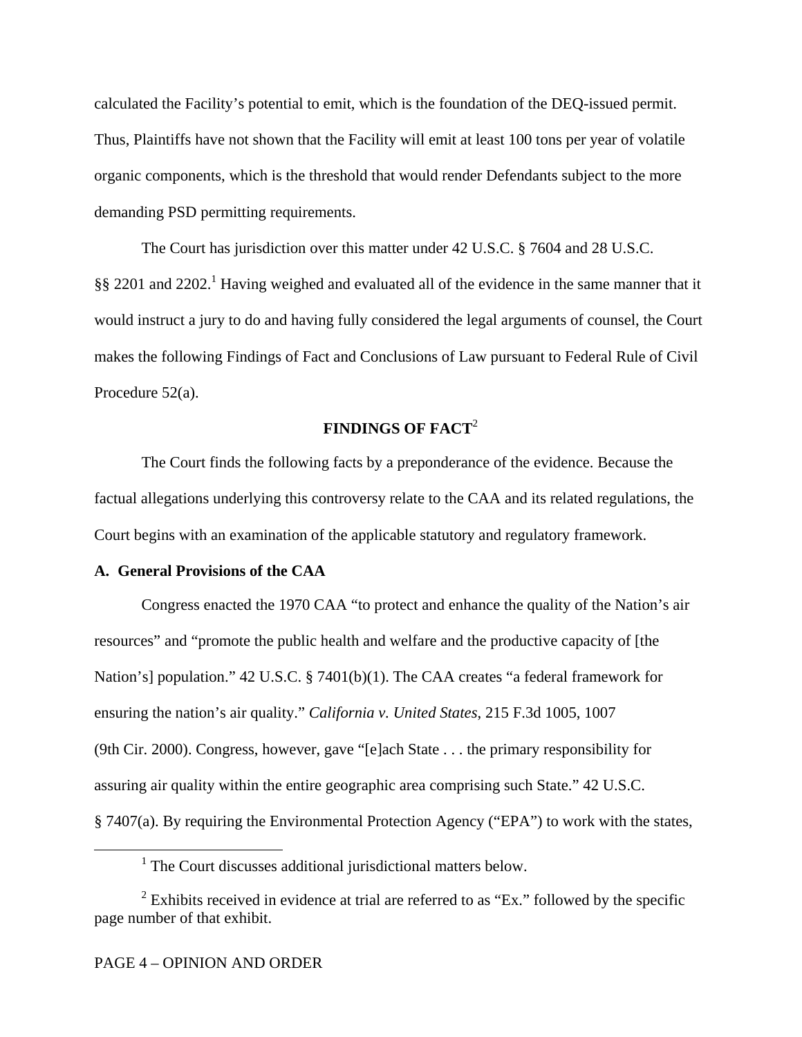calculated the Facility's potential to emit, which is the foundation of the DEQ-issued permit. Thus, Plaintiffs have not shown that the Facility will emit at least 100 tons per year of volatile organic components, which is the threshold that would render Defendants subject to the more demanding PSD permitting requirements.

The Court has jurisdiction over this matter under 42 U.S.C. § 7604 and 28 U.S.C. §§ 2201 and 2202.<sup>1</sup> Having weighed and evaluated all of the evidence in the same manner that it would instruct a jury to do and having fully considered the legal arguments of counsel, the Court makes the following Findings of Fact and Conclusions of Law pursuant to Federal Rule of Civil Procedure 52(a).

# **FINDINGS OF FACT**<sup>2</sup>

The Court finds the following facts by a preponderance of the evidence. Because the factual allegations underlying this controversy relate to the CAA and its related regulations, the Court begins with an examination of the applicable statutory and regulatory framework.

### **A. General Provisions of the CAA**

Congress enacted the 1970 CAA "to protect and enhance the quality of the Nation's air resources" and "promote the public health and welfare and the productive capacity of [the Nation's] population." 42 U.S.C. § 7401(b)(1). The CAA creates "a federal framework for ensuring the nation's air quality." *California v. United States*, 215 F.3d 1005, 1007 (9th Cir. 2000). Congress, however, gave "[e]ach State . . . the primary responsibility for assuring air quality within the entire geographic area comprising such State." 42 U.S.C. § 7407(a). By requiring the Environmental Protection Agency ("EPA") to work with the states,

<u>.</u>

<sup>&</sup>lt;sup>1</sup> The Court discusses additional jurisdictional matters below.

 $2$  Exhibits received in evidence at trial are referred to as "Ex." followed by the specific page number of that exhibit.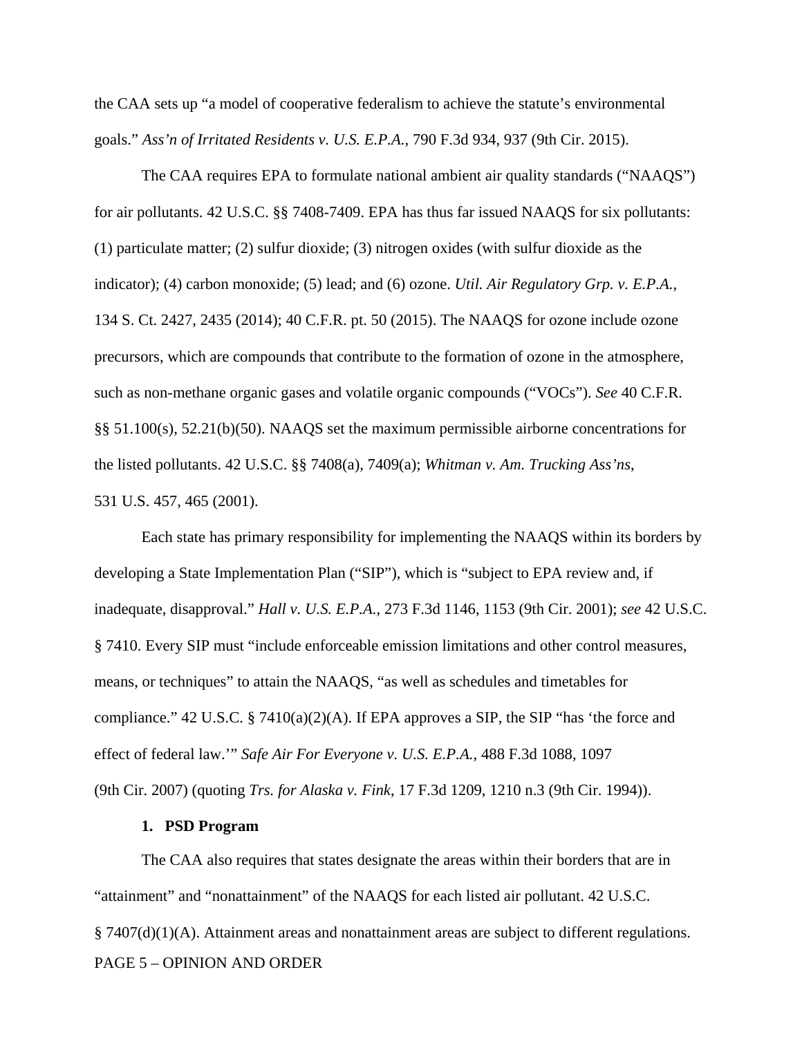the CAA sets up "a model of cooperative federalism to achieve the statute's environmental goals." *Ass'n of Irritated Residents v. U.S. E.P.A.*, 790 F.3d 934, 937 (9th Cir. 2015).

The CAA requires EPA to formulate national ambient air quality standards ("NAAQS") for air pollutants. 42 U.S.C. §§ 7408-7409. EPA has thus far issued NAAQS for six pollutants: (1) particulate matter; (2) sulfur dioxide; (3) nitrogen oxides (with sulfur dioxide as the indicator); (4) carbon monoxide; (5) lead; and (6) ozone. *Util. Air Regulatory Grp. v. E.P.A.*, 134 S. Ct. 2427, 2435 (2014); 40 C.F.R. pt. 50 (2015). The NAAQS for ozone include ozone precursors, which are compounds that contribute to the formation of ozone in the atmosphere, such as non-methane organic gases and volatile organic compounds ("VOCs"). *See* 40 C.F.R. §§ 51.100(s), 52.21(b)(50). NAAQS set the maximum permissible airborne concentrations for the listed pollutants. 42 U.S.C. §§ 7408(a), 7409(a); *Whitman v. Am. Trucking Ass'ns*, 531 U.S. 457, 465 (2001).

Each state has primary responsibility for implementing the NAAQS within its borders by developing a State Implementation Plan ("SIP"), which is "subject to EPA review and, if inadequate, disapproval." *Hall v. U.S. E.P.A.*, 273 F.3d 1146, 1153 (9th Cir. 2001); *see* 42 U.S.C. § 7410. Every SIP must "include enforceable emission limitations and other control measures, means, or techniques" to attain the NAAQS, "as well as schedules and timetables for compliance." 42 U.S.C. § 7410(a)(2)(A). If EPA approves a SIP, the SIP "has 'the force and effect of federal law.'" *Safe Air For Everyone v. U.S. E.P.A.*, 488 F.3d 1088, 1097 (9th Cir. 2007) (quoting *Trs. for Alaska v. Fink*, 17 F.3d 1209, 1210 n.3 (9th Cir. 1994)).

#### **1. PSD Program**

PAGE 5 – OPINION AND ORDER The CAA also requires that states designate the areas within their borders that are in "attainment" and "nonattainment" of the NAAQS for each listed air pollutant. 42 U.S.C.  $§ 7407(d)(1)(A)$ . Attainment areas and nonattainment areas are subject to different regulations.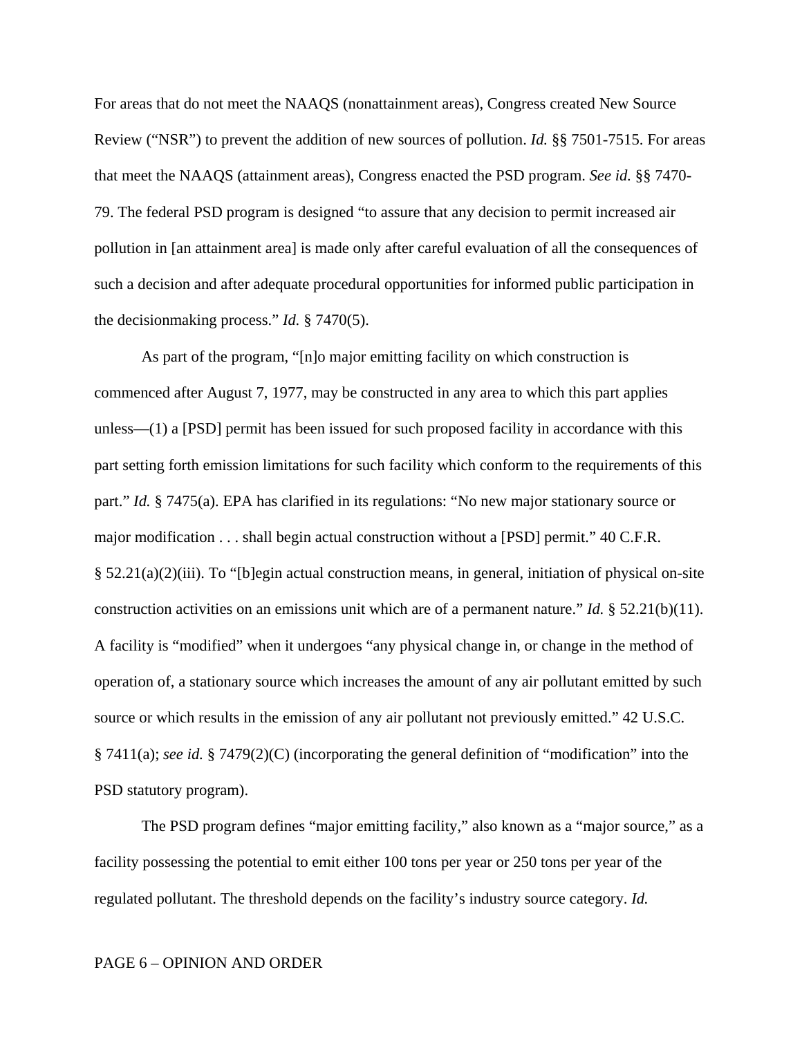For areas that do not meet the NAAQS (nonattainment areas), Congress created New Source Review ("NSR") to prevent the addition of new sources of pollution. *Id.* §§ 7501-7515. For areas that meet the NAAQS (attainment areas), Congress enacted the PSD program. *See id.* §§ 7470- 79. The federal PSD program is designed "to assure that any decision to permit increased air pollution in [an attainment area] is made only after careful evaluation of all the consequences of such a decision and after adequate procedural opportunities for informed public participation in the decisionmaking process." *Id.* § 7470(5).

As part of the program, "[n]o major emitting facility on which construction is commenced after August 7, 1977, may be constructed in any area to which this part applies unless—(1) a [PSD] permit has been issued for such proposed facility in accordance with this part setting forth emission limitations for such facility which conform to the requirements of this part." *Id.* § 7475(a). EPA has clarified in its regulations: "No new major stationary source or major modification . . . shall begin actual construction without a [PSD] permit." 40 C.F.R. § 52.21(a)(2)(iii). To "[b]egin actual construction means, in general, initiation of physical on-site construction activities on an emissions unit which are of a permanent nature." *Id.* § 52.21(b)(11). A facility is "modified" when it undergoes "any physical change in, or change in the method of operation of, a stationary source which increases the amount of any air pollutant emitted by such source or which results in the emission of any air pollutant not previously emitted." 42 U.S.C. § 7411(a); *see id.* § 7479(2)(C) (incorporating the general definition of "modification" into the PSD statutory program).

 The PSD program defines "major emitting facility," also known as a "major source," as a facility possessing the potential to emit either 100 tons per year or 250 tons per year of the regulated pollutant. The threshold depends on the facility's industry source category. *Id.*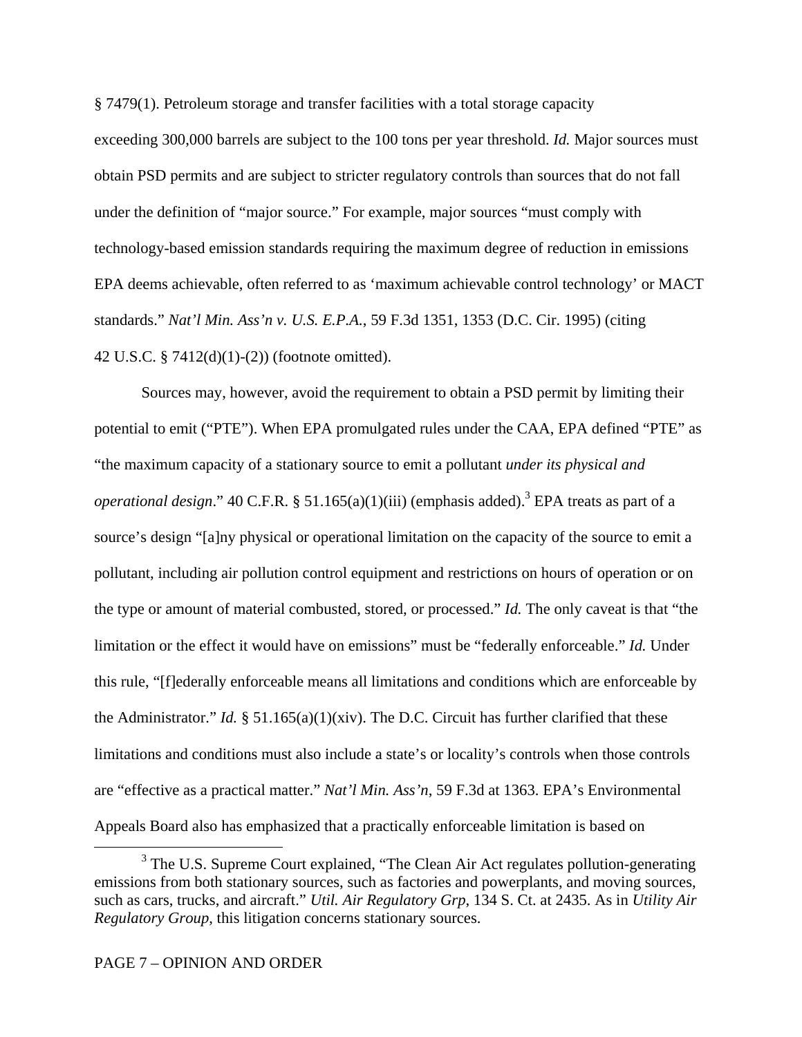§ 7479(1). Petroleum storage and transfer facilities with a total storage capacity

exceeding 300,000 barrels are subject to the 100 tons per year threshold. *Id.* Major sources must obtain PSD permits and are subject to stricter regulatory controls than sources that do not fall under the definition of "major source." For example, major sources "must comply with technology-based emission standards requiring the maximum degree of reduction in emissions EPA deems achievable, often referred to as 'maximum achievable control technology' or MACT standards." *Nat'l Min. Ass'n v. U.S. E.P.A.*, 59 F.3d 1351, 1353 (D.C. Cir. 1995) (citing 42 U.S.C. § 7412(d)(1)-(2)) (footnote omitted).

Sources may, however, avoid the requirement to obtain a PSD permit by limiting their potential to emit ("PTE"). When EPA promulgated rules under the CAA, EPA defined "PTE" as "the maximum capacity of a stationary source to emit a pollutant *under its physical and*  operational design." 40 C.F.R. § 51.165(a)(1)(iii) (emphasis added).<sup>3</sup> EPA treats as part of a source's design "[a]ny physical or operational limitation on the capacity of the source to emit a pollutant, including air pollution control equipment and restrictions on hours of operation or on the type or amount of material combusted, stored, or processed." *Id.* The only caveat is that "the limitation or the effect it would have on emissions" must be "federally enforceable." *Id.* Under this rule, "[f]ederally enforceable means all limitations and conditions which are enforceable by the Administrator." *Id.* § 51.165(a)(1)(xiv). The D.C. Circuit has further clarified that these limitations and conditions must also include a state's or locality's controls when those controls are "effective as a practical matter." *Nat'l Min. Ass'n*, 59 F.3d at 1363. EPA's Environmental Appeals Board also has emphasized that a practically enforceable limitation is based on

<sup>&</sup>lt;sup>3</sup> The U.S. Supreme Court explained, "The Clean Air Act regulates pollution-generating emissions from both stationary sources, such as factories and powerplants, and moving sources, such as cars, trucks, and aircraft." *Util. Air Regulatory Grp*, 134 S. Ct. at 2435. As in *Utility Air Regulatory Group*, this litigation concerns stationary sources.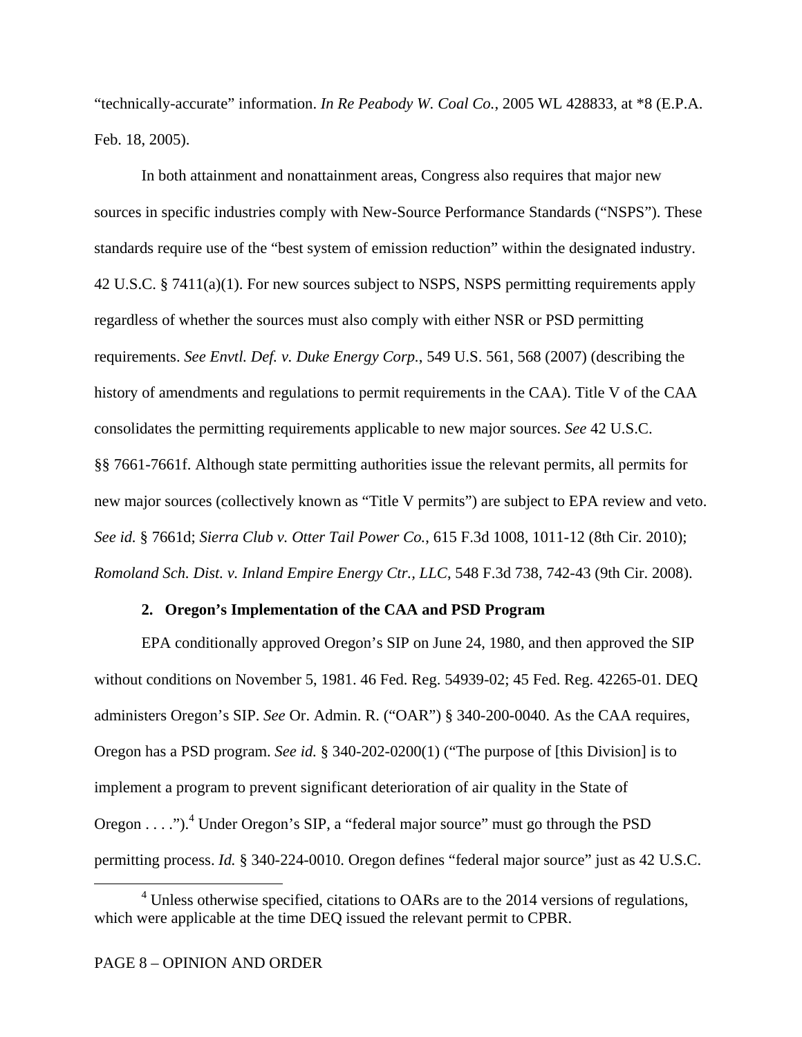"technically-accurate" information. *In Re Peabody W. Coal Co.*, 2005 WL 428833, at \*8 (E.P.A. Feb. 18, 2005).

In both attainment and nonattainment areas, Congress also requires that major new sources in specific industries comply with New-Source Performance Standards ("NSPS"). These standards require use of the "best system of emission reduction" within the designated industry. 42 U.S.C. § 7411(a)(1). For new sources subject to NSPS, NSPS permitting requirements apply regardless of whether the sources must also comply with either NSR or PSD permitting requirements. *See Envtl. Def. v. Duke Energy Corp.*, 549 U.S. 561, 568 (2007) (describing the history of amendments and regulations to permit requirements in the CAA). Title V of the CAA consolidates the permitting requirements applicable to new major sources. *See* 42 U.S.C. §§ 7661-7661f. Although state permitting authorities issue the relevant permits, all permits for new major sources (collectively known as "Title V permits") are subject to EPA review and veto. *See id.* § 7661d; *Sierra Club v. Otter Tail Power Co.*, 615 F.3d 1008, 1011-12 (8th Cir. 2010); *Romoland Sch. Dist. v. Inland Empire Energy Ctr., LLC*, 548 F.3d 738, 742-43 (9th Cir. 2008).

### **2. Oregon's Implementation of the CAA and PSD Program**

EPA conditionally approved Oregon's SIP on June 24, 1980, and then approved the SIP without conditions on November 5, 1981. 46 Fed. Reg. 54939-02; 45 Fed. Reg. 42265-01. DEQ administers Oregon's SIP. *See* Or. Admin. R. ("OAR") § 340-200-0040. As the CAA requires, Oregon has a PSD program. *See id.* § 340-202-0200(1) ("The purpose of [this Division] is to implement a program to prevent significant deterioration of air quality in the State of Oregon  $\dots$ ").<sup>4</sup> Under Oregon's SIP, a "federal major source" must go through the PSD permitting process. *Id.* § 340-224-0010. Oregon defines "federal major source" just as 42 U.S.C.

<u>.</u>

 $4$  Unless otherwise specified, citations to OARs are to the 2014 versions of regulations, which were applicable at the time DEQ issued the relevant permit to CPBR.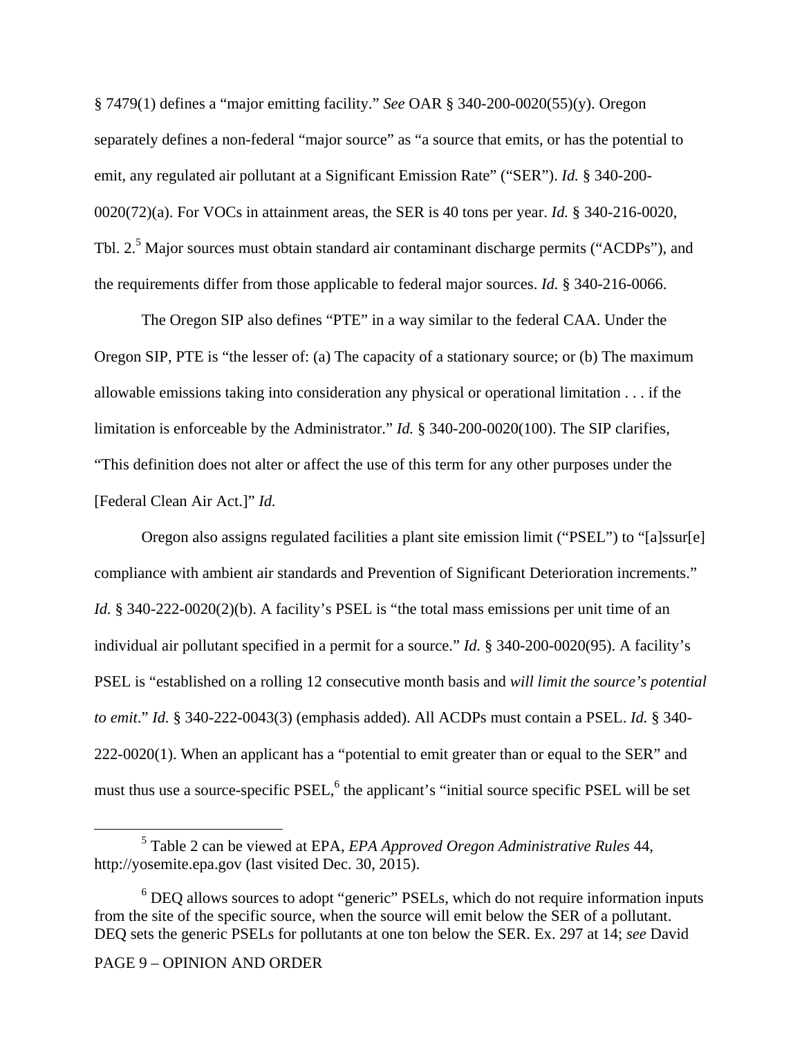§ 7479(1) defines a "major emitting facility." *See* OAR § 340-200-0020(55)(y). Oregon separately defines a non-federal "major source" as "a source that emits, or has the potential to emit, any regulated air pollutant at a Significant Emission Rate" ("SER"). *Id.* § 340-200- 0020(72)(a). For VOCs in attainment areas, the SER is 40 tons per year. *Id.* § 340-216-0020, Tbl. 2.<sup>5</sup> Major sources must obtain standard air contaminant discharge permits ("ACDPs"), and the requirements differ from those applicable to federal major sources. *Id.* § 340-216-0066.

The Oregon SIP also defines "PTE" in a way similar to the federal CAA. Under the Oregon SIP, PTE is "the lesser of: (a) The capacity of a stationary source; or (b) The maximum allowable emissions taking into consideration any physical or operational limitation . . . if the limitation is enforceable by the Administrator." *Id.* § 340-200-0020(100). The SIP clarifies, "This definition does not alter or affect the use of this term for any other purposes under the [Federal Clean Air Act.]" *Id.*

Oregon also assigns regulated facilities a plant site emission limit ("PSEL") to "[a]ssur[e] compliance with ambient air standards and Prevention of Significant Deterioration increments." *Id.* § 340-222-0020(2)(b). A facility's PSEL is "the total mass emissions per unit time of an individual air pollutant specified in a permit for a source." *Id.* § 340-200-0020(95). A facility's PSEL is "established on a rolling 12 consecutive month basis and *will limit the source's potential to emit*." *Id.* § 340-222-0043(3) (emphasis added). All ACDPs must contain a PSEL. *Id.* § 340- 222-0020(1). When an applicant has a "potential to emit greater than or equal to the SER" and must thus use a source-specific PSEL,<sup>6</sup> the applicant's "initial source specific PSEL will be set

<sup>5</sup> Table 2 can be viewed at EPA, *EPA Approved Oregon Administrative Rules* 44, http://yosemite.epa.gov (last visited Dec. 30, 2015).

<sup>&</sup>lt;sup>6</sup> DEQ allows sources to adopt "generic" PSELs, which do not require information inputs from the site of the specific source, when the source will emit below the SER of a pollutant. DEQ sets the generic PSELs for pollutants at one ton below the SER. Ex. 297 at 14; *see* David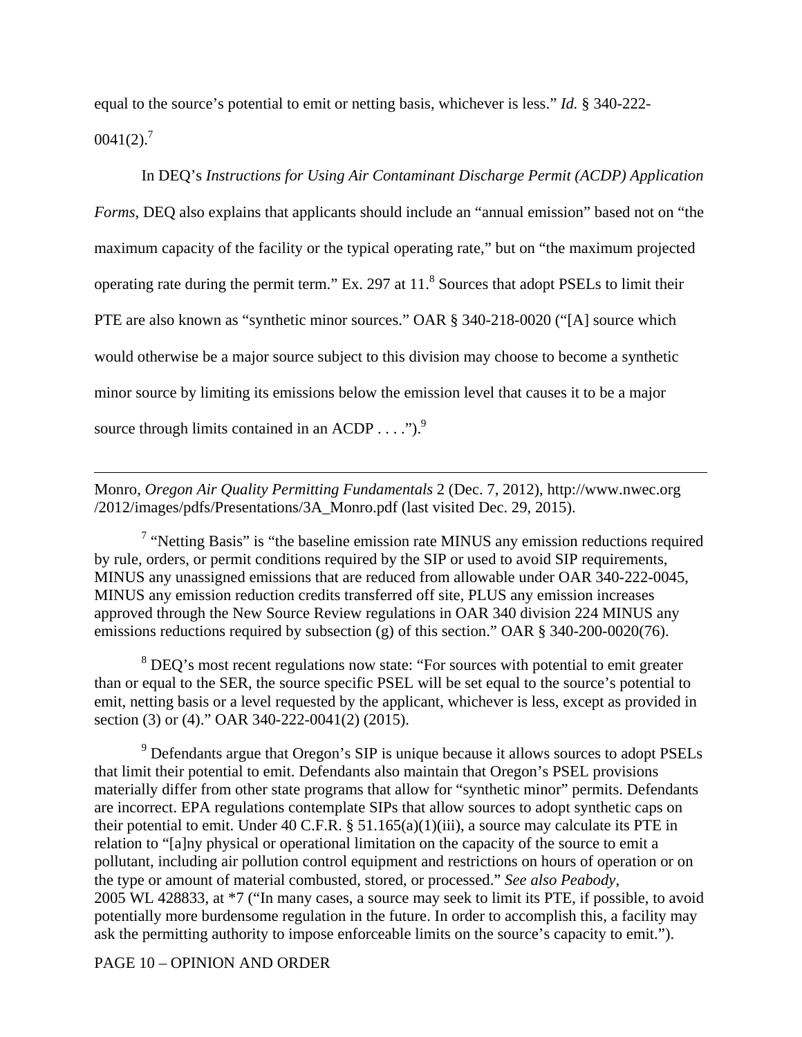equal to the source's potential to emit or netting basis, whichever is less." *Id.* § 340-222-  $0041(2).^{7}$ 

In DEQ's *Instructions for Using Air Contaminant Discharge Permit (ACDP) Application Forms*, DEQ also explains that applicants should include an "annual emission" based not on "the maximum capacity of the facility or the typical operating rate," but on "the maximum projected operating rate during the permit term." Ex. 297 at 11.<sup>8</sup> Sources that adopt PSELs to limit their PTE are also known as "synthetic minor sources." OAR § 340-218-0020 ("[A] source which would otherwise be a major source subject to this division may choose to become a synthetic minor source by limiting its emissions below the emission level that causes it to be a major source through limits contained in an ACDP  $\dots$ .").<sup>9</sup>

Monro, *Oregon Air Quality Permitting Fundamentals* 2 (Dec. 7, 2012), http://www.nwec.org /2012/images/pdfs/Presentations/3A\_Monro.pdf (last visited Dec. 29, 2015).

 $7$  "Netting Basis" is "the baseline emission rate MINUS any emission reductions required by rule, orders, or permit conditions required by the SIP or used to avoid SIP requirements, MINUS any unassigned emissions that are reduced from allowable under OAR 340-222-0045, MINUS any emission reduction credits transferred off site, PLUS any emission increases approved through the New Source Review regulations in OAR 340 division 224 MINUS any emissions reductions required by subsection (g) of this section." OAR § 340-200-0020(76).

<sup>8</sup> DEQ's most recent regulations now state: "For sources with potential to emit greater than or equal to the SER, the source specific PSEL will be set equal to the source's potential to emit, netting basis or a level requested by the applicant, whichever is less, except as provided in section (3) or (4)." OAR 340-222-0041(2) (2015).

<sup>9</sup> Defendants argue that Oregon's SIP is unique because it allows sources to adopt PSELs that limit their potential to emit. Defendants also maintain that Oregon's PSEL provisions materially differ from other state programs that allow for "synthetic minor" permits. Defendants are incorrect. EPA regulations contemplate SIPs that allow sources to adopt synthetic caps on their potential to emit. Under 40 C.F.R. § 51.165(a)(1)(iii), a source may calculate its PTE in relation to "[a]ny physical or operational limitation on the capacity of the source to emit a pollutant, including air pollution control equipment and restrictions on hours of operation or on the type or amount of material combusted, stored, or processed." *See also Peabody*, 2005 WL 428833, at \*7 ("In many cases, a source may seek to limit its PTE, if possible, to avoid potentially more burdensome regulation in the future. In order to accomplish this, a facility may ask the permitting authority to impose enforceable limits on the source's capacity to emit.").

PAGE 10 – OPINION AND ORDER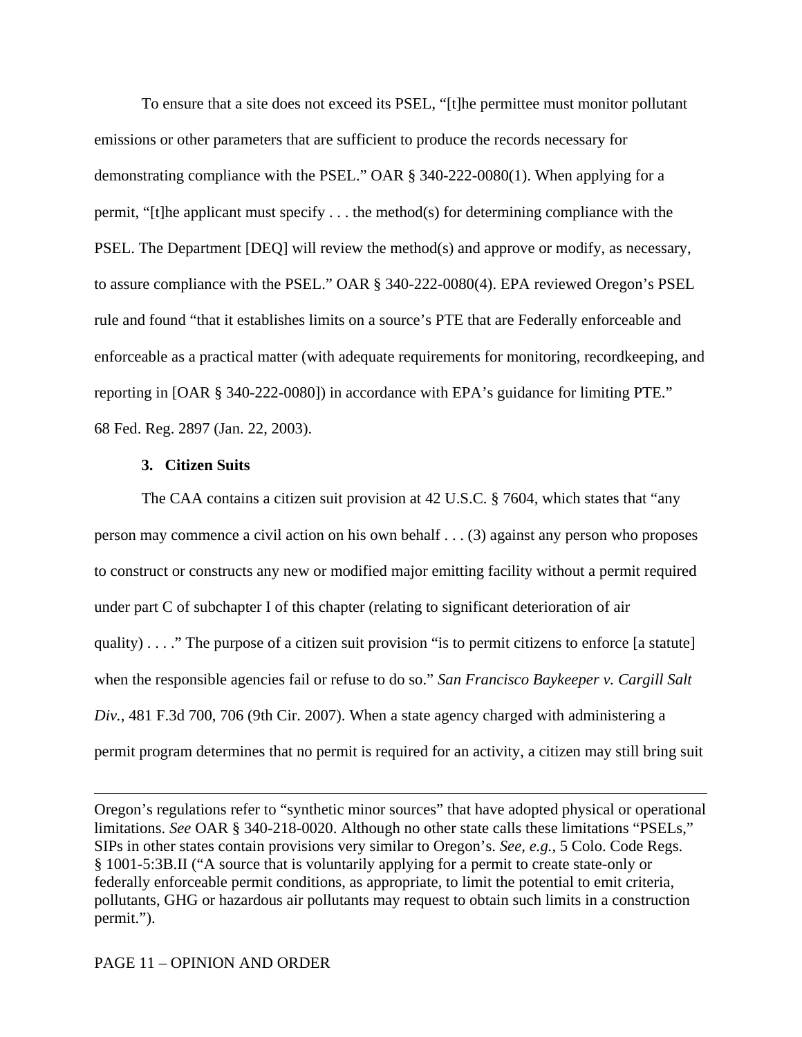To ensure that a site does not exceed its PSEL, "[t]he permittee must monitor pollutant emissions or other parameters that are sufficient to produce the records necessary for demonstrating compliance with the PSEL." OAR § 340-222-0080(1). When applying for a permit, "[t]he applicant must specify . . . the method(s) for determining compliance with the PSEL. The Department [DEQ] will review the method(s) and approve or modify, as necessary, to assure compliance with the PSEL." OAR § 340-222-0080(4). EPA reviewed Oregon's PSEL rule and found "that it establishes limits on a source's PTE that are Federally enforceable and enforceable as a practical matter (with adequate requirements for monitoring, recordkeeping, and reporting in [OAR § 340-222-0080]) in accordance with EPA's guidance for limiting PTE." 68 Fed. Reg. 2897 (Jan. 22, 2003).

#### **3. Citizen Suits**

The CAA contains a citizen suit provision at 42 U.S.C. § 7604, which states that "any person may commence a civil action on his own behalf . . . (3) against any person who proposes to construct or constructs any new or modified major emitting facility without a permit required under part C of subchapter I of this chapter (relating to significant deterioration of air quality) . . . ." The purpose of a citizen suit provision "is to permit citizens to enforce [a statute] when the responsible agencies fail or refuse to do so." *San Francisco Baykeeper v. Cargill Salt Div.*, 481 F.3d 700, 706 (9th Cir. 2007). When a state agency charged with administering a permit program determines that no permit is required for an activity, a citizen may still bring suit

Oregon's regulations refer to "synthetic minor sources" that have adopted physical or operational limitations. *See* OAR § 340-218-0020. Although no other state calls these limitations "PSELs," SIPs in other states contain provisions very similar to Oregon's. *See, e.g.*, 5 Colo. Code Regs. § 1001-5:3B.II ("A source that is voluntarily applying for a permit to create state-only or federally enforceable permit conditions, as appropriate, to limit the potential to emit criteria, pollutants, GHG or hazardous air pollutants may request to obtain such limits in a construction permit.").

### PAGE 11 – OPINION AND ORDER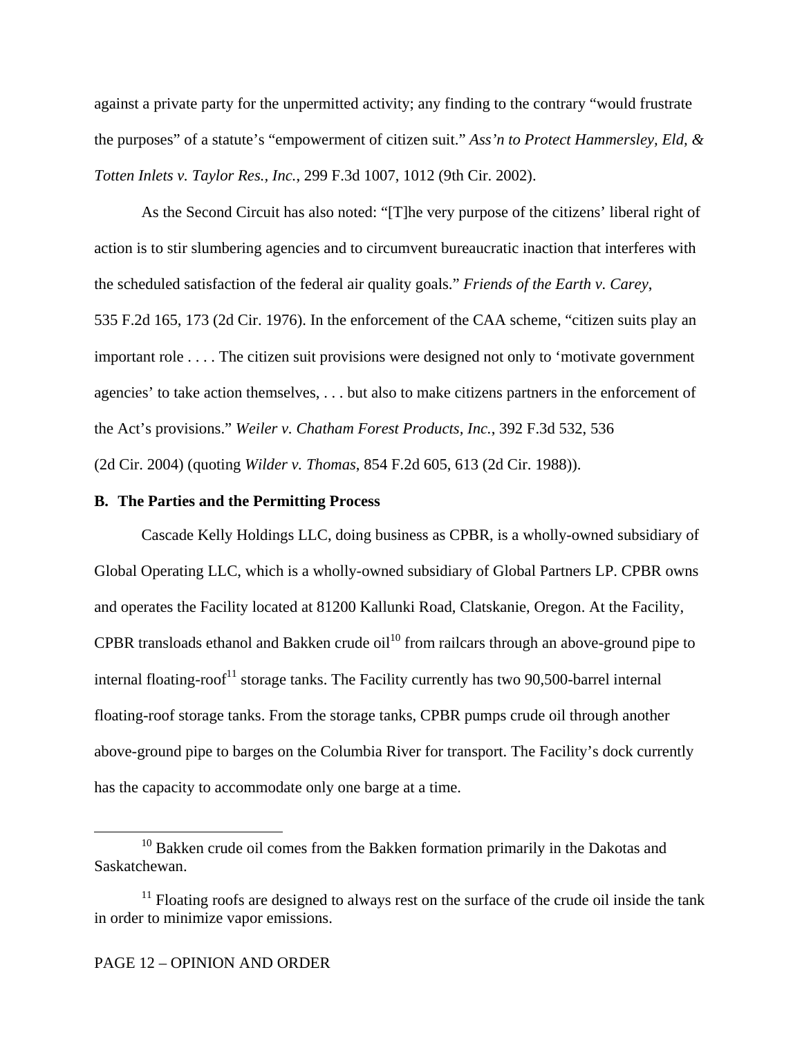against a private party for the unpermitted activity; any finding to the contrary "would frustrate the purposes" of a statute's "empowerment of citizen suit." *Ass'n to Protect Hammersley, Eld, & Totten Inlets v. Taylor Res., Inc.*, 299 F.3d 1007, 1012 (9th Cir. 2002).

As the Second Circuit has also noted: "[T]he very purpose of the citizens' liberal right of action is to stir slumbering agencies and to circumvent bureaucratic inaction that interferes with the scheduled satisfaction of the federal air quality goals." *Friends of the Earth v. Carey*, 535 F.2d 165, 173 (2d Cir. 1976). In the enforcement of the CAA scheme, "citizen suits play an important role . . . . The citizen suit provisions were designed not only to 'motivate government agencies' to take action themselves, . . . but also to make citizens partners in the enforcement of the Act's provisions." *Weiler v. Chatham Forest Products, Inc.*, 392 F.3d 532, 536 (2d Cir. 2004) (quoting *Wilder v. Thomas*, 854 F.2d 605, 613 (2d Cir. 1988)).

## **B. The Parties and the Permitting Process**

Cascade Kelly Holdings LLC, doing business as CPBR, is a wholly-owned subsidiary of Global Operating LLC, which is a wholly-owned subsidiary of Global Partners LP. CPBR owns and operates the Facility located at 81200 Kallunki Road, Clatskanie, Oregon. At the Facility, CPBR transloads ethanol and Bakken crude  $\delta$ <sup>10</sup> from railcars through an above-ground pipe to internal floating-roof<sup>11</sup> storage tanks. The Facility currently has two 90,500-barrel internal floating-roof storage tanks. From the storage tanks, CPBR pumps crude oil through another above-ground pipe to barges on the Columbia River for transport. The Facility's dock currently has the capacity to accommodate only one barge at a time.

<u>.</u>

<sup>&</sup>lt;sup>10</sup> Bakken crude oil comes from the Bakken formation primarily in the Dakotas and Saskatchewan.

 $<sup>11</sup>$  Floating roofs are designed to always rest on the surface of the crude oil inside the tank</sup> in order to minimize vapor emissions.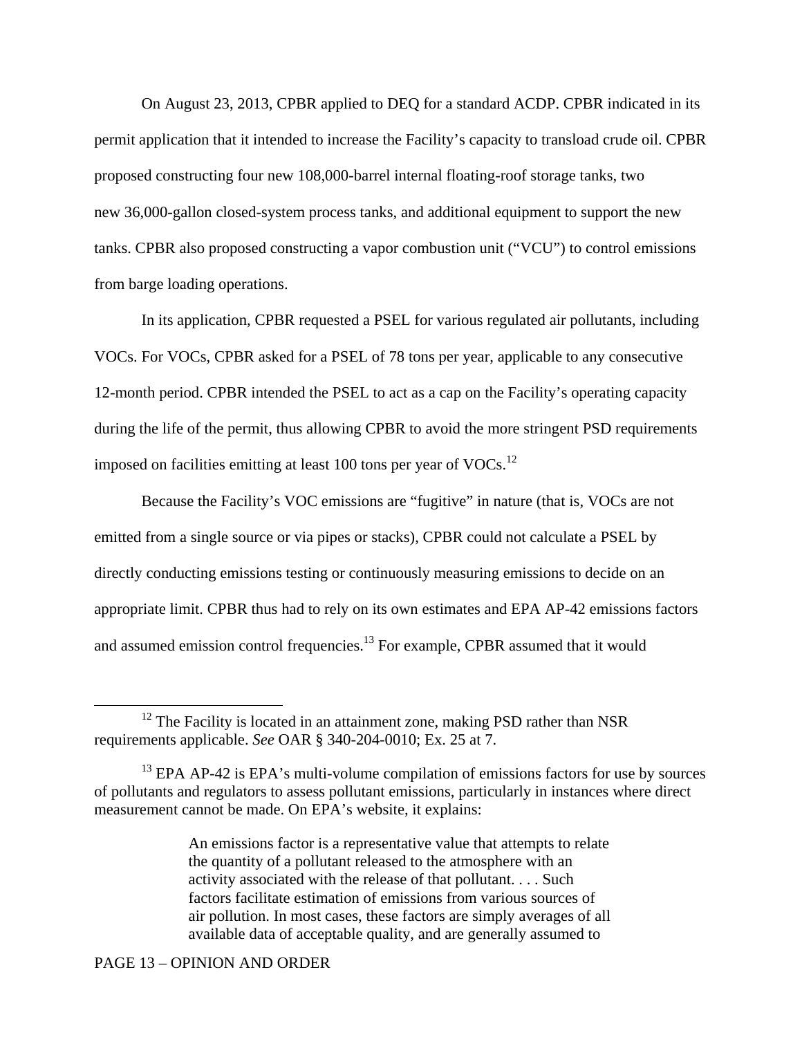On August 23, 2013, CPBR applied to DEQ for a standard ACDP. CPBR indicated in its permit application that it intended to increase the Facility's capacity to transload crude oil. CPBR proposed constructing four new 108,000-barrel internal floating-roof storage tanks, two new 36,000-gallon closed-system process tanks, and additional equipment to support the new tanks. CPBR also proposed constructing a vapor combustion unit ("VCU") to control emissions from barge loading operations.

In its application, CPBR requested a PSEL for various regulated air pollutants, including VOCs. For VOCs, CPBR asked for a PSEL of 78 tons per year, applicable to any consecutive 12-month period. CPBR intended the PSEL to act as a cap on the Facility's operating capacity during the life of the permit, thus allowing CPBR to avoid the more stringent PSD requirements imposed on facilities emitting at least 100 tons per year of  $VOCs$ .<sup>12</sup>

Because the Facility's VOC emissions are "fugitive" in nature (that is, VOCs are not emitted from a single source or via pipes or stacks), CPBR could not calculate a PSEL by directly conducting emissions testing or continuously measuring emissions to decide on an appropriate limit. CPBR thus had to rely on its own estimates and EPA AP-42 emissions factors and assumed emission control frequencies.<sup>13</sup> For example, CPBR assumed that it would

An emissions factor is a representative value that attempts to relate the quantity of a pollutant released to the atmosphere with an activity associated with the release of that pollutant. . . . Such factors facilitate estimation of emissions from various sources of air pollution. In most cases, these factors are simply averages of all available data of acceptable quality, and are generally assumed to

<u>.</u>

 $12$  The Facility is located in an attainment zone, making PSD rather than NSR requirements applicable. *See* OAR § 340-204-0010; Ex. 25 at 7.

 $13$  EPA AP-42 is EPA's multi-volume compilation of emissions factors for use by sources of pollutants and regulators to assess pollutant emissions, particularly in instances where direct measurement cannot be made. On EPA's website, it explains: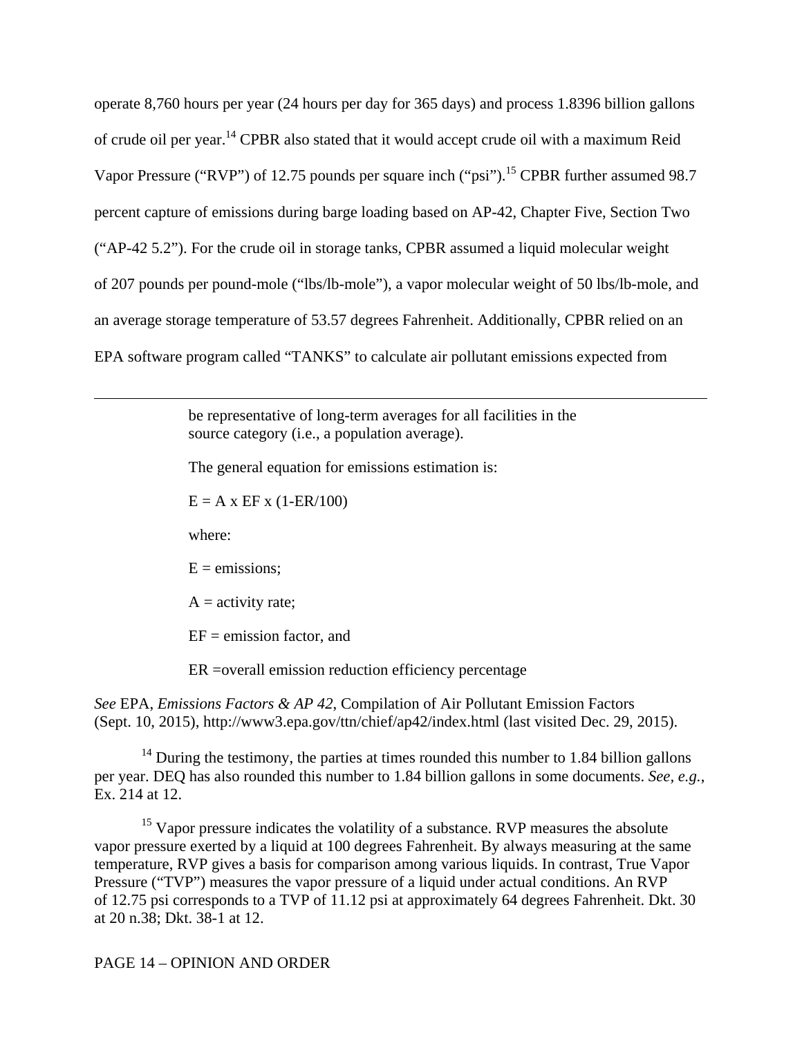operate 8,760 hours per year (24 hours per day for 365 days) and process 1.8396 billion gallons of crude oil per year.<sup>14</sup> CPBR also stated that it would accept crude oil with a maximum Reid Vapor Pressure ("RVP") of 12.75 pounds per square inch ("psi").<sup>15</sup> CPBR further assumed 98.7 percent capture of emissions during barge loading based on AP-42, Chapter Five, Section Two ("AP-42 5.2"). For the crude oil in storage tanks, CPBR assumed a liquid molecular weight of 207 pounds per pound-mole ("lbs/lb-mole"), a vapor molecular weight of 50 lbs/lb-mole, and an average storage temperature of 53.57 degrees Fahrenheit. Additionally, CPBR relied on an EPA software program called "TANKS" to calculate air pollutant emissions expected from

> be representative of long-term averages for all facilities in the source category (i.e., a population average). The general equation for emissions estimation is:

 $E = A \times EF \times (1-ER/100)$ 

where:

<u>.</u>

 $E =$  emissions;

 $A =$  activity rate;

 $EF =$  emission factor, and

ER =overall emission reduction efficiency percentage

*See* EPA, *Emissions Factors & AP 42*, Compilation of Air Pollutant Emission Factors (Sept. 10, 2015), http://www3.epa.gov/ttn/chief/ap42/index.html (last visited Dec. 29, 2015).

 $14$  During the testimony, the parties at times rounded this number to 1.84 billion gallons per year. DEQ has also rounded this number to 1.84 billion gallons in some documents. *See, e.g.*, Ex. 214 at 12.

<sup>15</sup> Vapor pressure indicates the volatility of a substance. RVP measures the absolute vapor pressure exerted by a liquid at 100 degrees Fahrenheit. By always measuring at the same temperature, RVP gives a basis for comparison among various liquids. In contrast, True Vapor Pressure ("TVP") measures the vapor pressure of a liquid under actual conditions. An RVP of 12.75 psi corresponds to a TVP of 11.12 psi at approximately 64 degrees Fahrenheit. Dkt. 30 at 20 n.38; Dkt. 38-1 at 12.

PAGE 14 – OPINION AND ORDER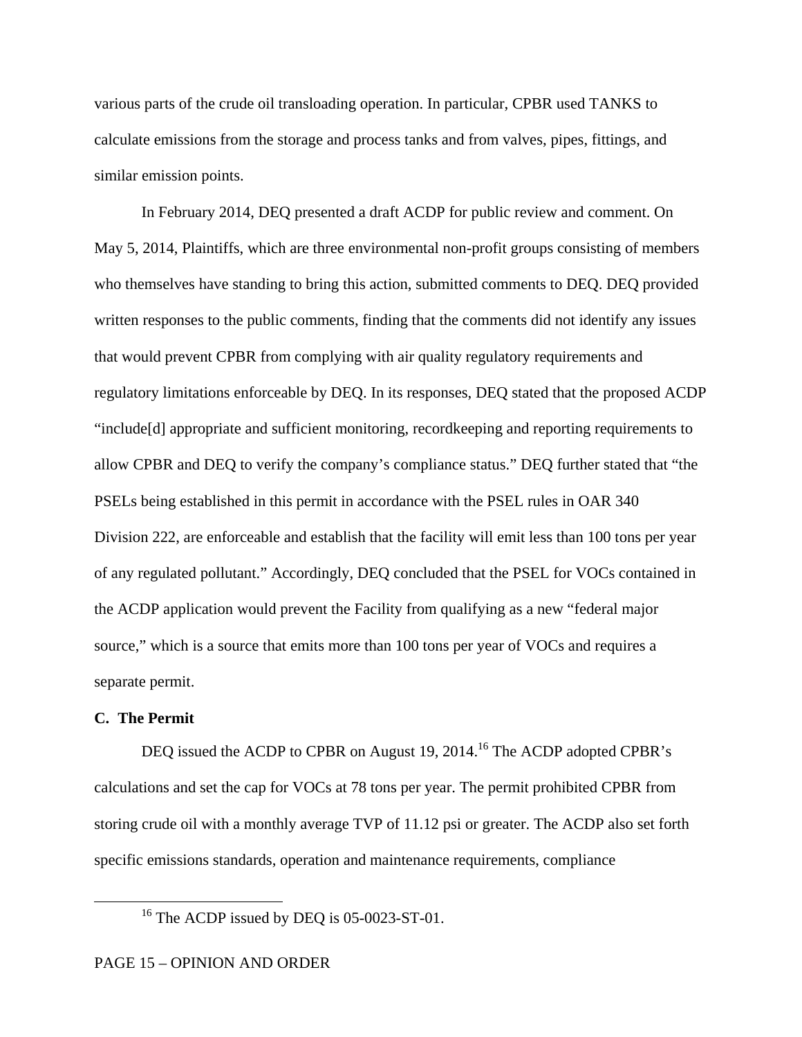various parts of the crude oil transloading operation. In particular, CPBR used TANKS to calculate emissions from the storage and process tanks and from valves, pipes, fittings, and similar emission points.

In February 2014, DEQ presented a draft ACDP for public review and comment. On May 5, 2014, Plaintiffs, which are three environmental non-profit groups consisting of members who themselves have standing to bring this action, submitted comments to DEQ. DEQ provided written responses to the public comments, finding that the comments did not identify any issues that would prevent CPBR from complying with air quality regulatory requirements and regulatory limitations enforceable by DEQ. In its responses, DEQ stated that the proposed ACDP "include[d] appropriate and sufficient monitoring, recordkeeping and reporting requirements to allow CPBR and DEQ to verify the company's compliance status." DEQ further stated that "the PSELs being established in this permit in accordance with the PSEL rules in OAR 340 Division 222, are enforceable and establish that the facility will emit less than 100 tons per year of any regulated pollutant." Accordingly, DEQ concluded that the PSEL for VOCs contained in the ACDP application would prevent the Facility from qualifying as a new "federal major source," which is a source that emits more than 100 tons per year of VOCs and requires a separate permit.

## **C. The Permit**

<u>.</u>

DEQ issued the ACDP to CPBR on August 19, 2014.<sup>16</sup> The ACDP adopted CPBR's calculations and set the cap for VOCs at 78 tons per year. The permit prohibited CPBR from storing crude oil with a monthly average TVP of 11.12 psi or greater. The ACDP also set forth specific emissions standards, operation and maintenance requirements, compliance

<sup>&</sup>lt;sup>16</sup> The ACDP issued by DEO is 05-0023-ST-01.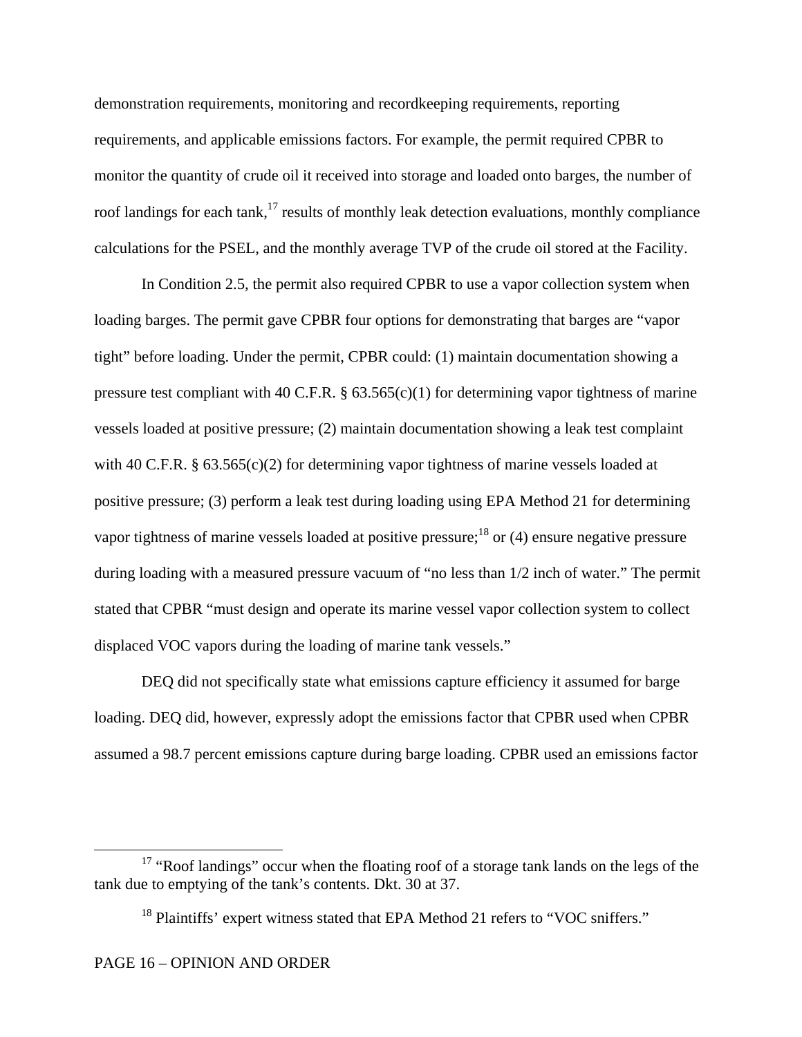demonstration requirements, monitoring and recordkeeping requirements, reporting requirements, and applicable emissions factors. For example, the permit required CPBR to monitor the quantity of crude oil it received into storage and loaded onto barges, the number of roof landings for each tank, $^{17}$  results of monthly leak detection evaluations, monthly compliance calculations for the PSEL, and the monthly average TVP of the crude oil stored at the Facility.

In Condition 2.5, the permit also required CPBR to use a vapor collection system when loading barges. The permit gave CPBR four options for demonstrating that barges are "vapor tight" before loading. Under the permit, CPBR could: (1) maintain documentation showing a pressure test compliant with 40 C.F.R. § 63.565(c)(1) for determining vapor tightness of marine vessels loaded at positive pressure; (2) maintain documentation showing a leak test complaint with 40 C.F.R. §  $63.565(c)(2)$  for determining vapor tightness of marine vessels loaded at positive pressure; (3) perform a leak test during loading using EPA Method 21 for determining vapor tightness of marine vessels loaded at positive pressure;<sup>18</sup> or (4) ensure negative pressure during loading with a measured pressure vacuum of "no less than 1/2 inch of water." The permit stated that CPBR "must design and operate its marine vessel vapor collection system to collect displaced VOC vapors during the loading of marine tank vessels."

DEQ did not specifically state what emissions capture efficiency it assumed for barge loading. DEQ did, however, expressly adopt the emissions factor that CPBR used when CPBR assumed a 98.7 percent emissions capture during barge loading. CPBR used an emissions factor

<sup>&</sup>lt;sup>17</sup> "Roof landings" occur when the floating roof of a storage tank lands on the legs of the tank due to emptying of the tank's contents. Dkt. 30 at 37.

<sup>&</sup>lt;sup>18</sup> Plaintiffs' expert witness stated that EPA Method 21 refers to "VOC sniffers."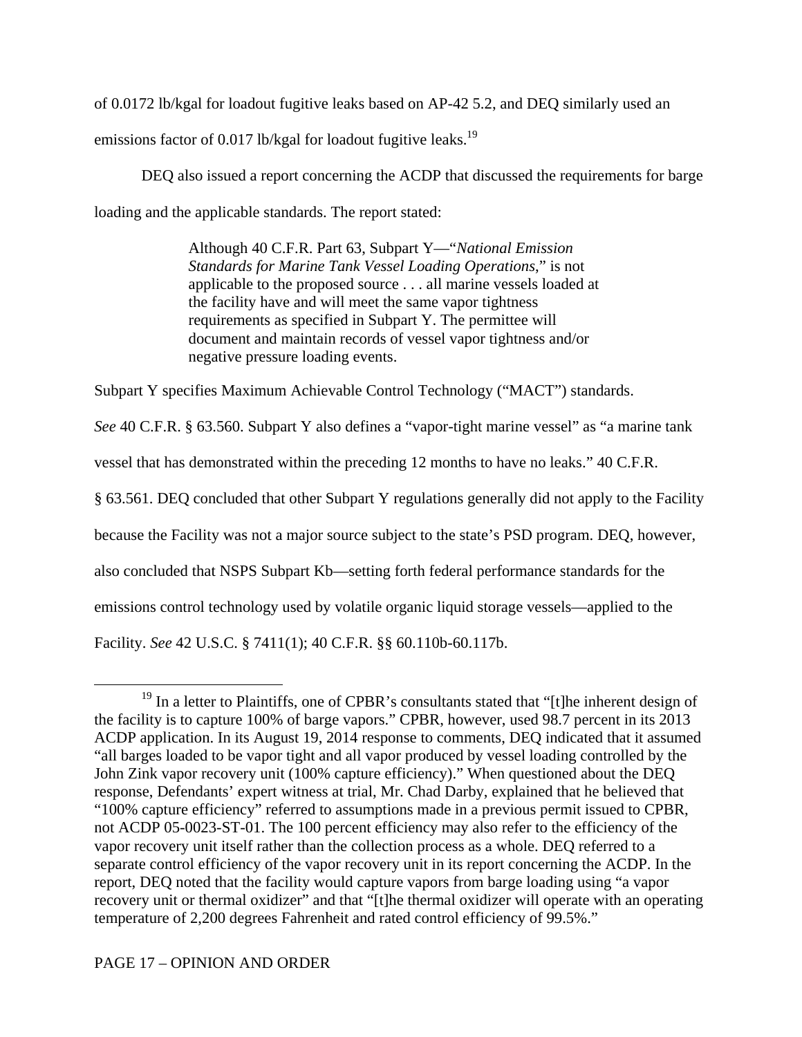of 0.0172 lb/kgal for loadout fugitive leaks based on AP-42 5.2, and DEQ similarly used an

emissions factor of 0.017 lb/kgal for loadout fugitive leaks.<sup>19</sup>

DEQ also issued a report concerning the ACDP that discussed the requirements for barge loading and the applicable standards. The report stated:

> Although 40 C.F.R. Part 63, Subpart Y—"*National Emission Standards for Marine Tank Vessel Loading Operations*," is not applicable to the proposed source . . . all marine vessels loaded at the facility have and will meet the same vapor tightness requirements as specified in Subpart Y. The permittee will document and maintain records of vessel vapor tightness and/or negative pressure loading events.

Subpart Y specifies Maximum Achievable Control Technology ("MACT") standards.

*See* 40 C.F.R. § 63.560. Subpart Y also defines a "vapor-tight marine vessel" as "a marine tank

vessel that has demonstrated within the preceding 12 months to have no leaks." 40 C.F.R.

§ 63.561. DEQ concluded that other Subpart Y regulations generally did not apply to the Facility

because the Facility was not a major source subject to the state's PSD program. DEQ, however,

also concluded that NSPS Subpart Kb—setting forth federal performance standards for the

emissions control technology used by volatile organic liquid storage vessels—applied to the

Facility. *See* 42 U.S.C. § 7411(1); 40 C.F.R. §§ 60.110b-60.117b.

 $19$  In a letter to Plaintiffs, one of CPBR's consultants stated that "[t]he inherent design of the facility is to capture 100% of barge vapors." CPBR, however, used 98.7 percent in its 2013 ACDP application. In its August 19, 2014 response to comments, DEQ indicated that it assumed "all barges loaded to be vapor tight and all vapor produced by vessel loading controlled by the John Zink vapor recovery unit (100% capture efficiency)." When questioned about the DEQ response, Defendants' expert witness at trial, Mr. Chad Darby, explained that he believed that "100% capture efficiency" referred to assumptions made in a previous permit issued to CPBR, not ACDP 05-0023-ST-01. The 100 percent efficiency may also refer to the efficiency of the vapor recovery unit itself rather than the collection process as a whole. DEQ referred to a separate control efficiency of the vapor recovery unit in its report concerning the ACDP. In the report, DEQ noted that the facility would capture vapors from barge loading using "a vapor recovery unit or thermal oxidizer" and that "[t]he thermal oxidizer will operate with an operating temperature of 2,200 degrees Fahrenheit and rated control efficiency of 99.5%."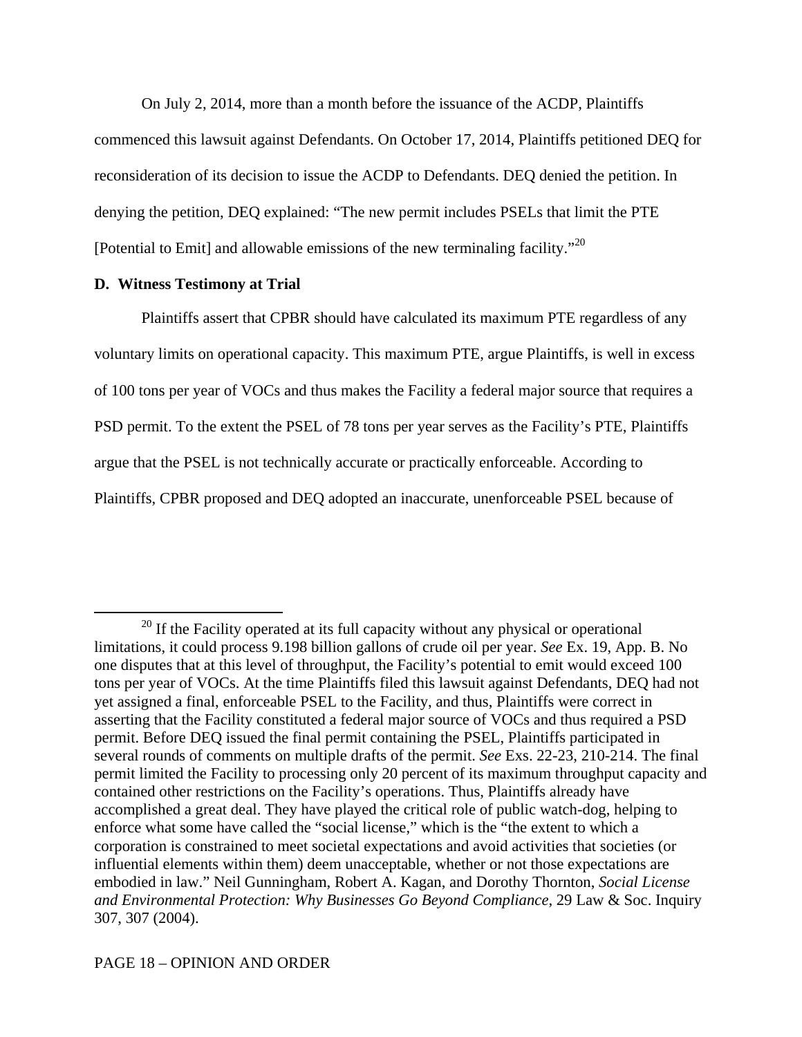On July 2, 2014, more than a month before the issuance of the ACDP, Plaintiffs

commenced this lawsuit against Defendants. On October 17, 2014, Plaintiffs petitioned DEQ for reconsideration of its decision to issue the ACDP to Defendants. DEQ denied the petition. In denying the petition, DEQ explained: "The new permit includes PSELs that limit the PTE [Potential to Emit] and allowable emissions of the new terminaling facility."<sup>20</sup>

## **D. Witness Testimony at Trial**

<u>.</u>

Plaintiffs assert that CPBR should have calculated its maximum PTE regardless of any voluntary limits on operational capacity. This maximum PTE, argue Plaintiffs, is well in excess of 100 tons per year of VOCs and thus makes the Facility a federal major source that requires a PSD permit. To the extent the PSEL of 78 tons per year serves as the Facility's PTE, Plaintiffs argue that the PSEL is not technically accurate or practically enforceable. According to Plaintiffs, CPBR proposed and DEQ adopted an inaccurate, unenforceable PSEL because of

 $20$  If the Facility operated at its full capacity without any physical or operational limitations, it could process 9.198 billion gallons of crude oil per year. *See* Ex. 19, App. B. No one disputes that at this level of throughput, the Facility's potential to emit would exceed 100 tons per year of VOCs. At the time Plaintiffs filed this lawsuit against Defendants, DEQ had not yet assigned a final, enforceable PSEL to the Facility, and thus, Plaintiffs were correct in asserting that the Facility constituted a federal major source of VOCs and thus required a PSD permit. Before DEQ issued the final permit containing the PSEL, Plaintiffs participated in several rounds of comments on multiple drafts of the permit. *See* Exs. 22-23, 210-214. The final permit limited the Facility to processing only 20 percent of its maximum throughput capacity and contained other restrictions on the Facility's operations. Thus, Plaintiffs already have accomplished a great deal. They have played the critical role of public watch-dog, helping to enforce what some have called the "social license," which is the "the extent to which a corporation is constrained to meet societal expectations and avoid activities that societies (or influential elements within them) deem unacceptable, whether or not those expectations are embodied in law." Neil Gunningham, Robert A. Kagan, and Dorothy Thornton, *Social License and Environmental Protection: Why Businesses Go Beyond Compliance*, 29 Law & Soc. Inquiry 307, 307 (2004).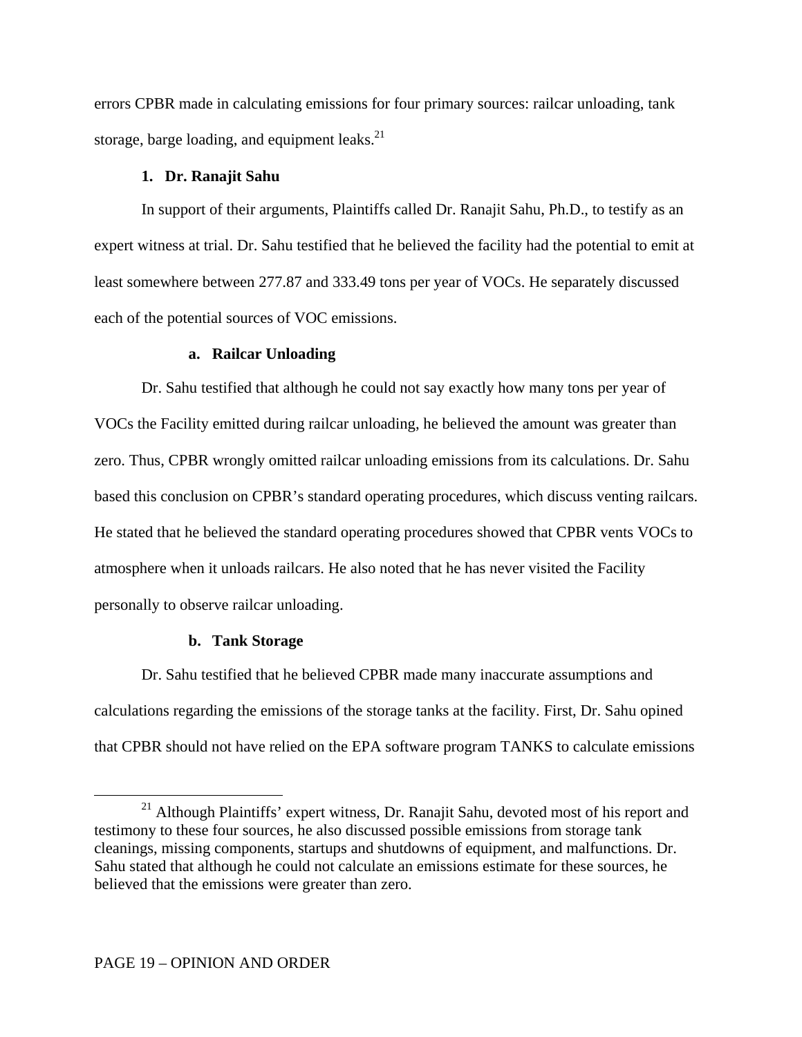errors CPBR made in calculating emissions for four primary sources: railcar unloading, tank storage, barge loading, and equipment leaks. $^{21}$ 

## **1. Dr. Ranajit Sahu**

In support of their arguments, Plaintiffs called Dr. Ranajit Sahu, Ph.D., to testify as an expert witness at trial. Dr. Sahu testified that he believed the facility had the potential to emit at least somewhere between 277.87 and 333.49 tons per year of VOCs. He separately discussed each of the potential sources of VOC emissions.

#### **a. Railcar Unloading**

Dr. Sahu testified that although he could not say exactly how many tons per year of VOCs the Facility emitted during railcar unloading, he believed the amount was greater than zero. Thus, CPBR wrongly omitted railcar unloading emissions from its calculations. Dr. Sahu based this conclusion on CPBR's standard operating procedures, which discuss venting railcars. He stated that he believed the standard operating procedures showed that CPBR vents VOCs to atmosphere when it unloads railcars. He also noted that he has never visited the Facility personally to observe railcar unloading.

### **b. Tank Storage**

Dr. Sahu testified that he believed CPBR made many inaccurate assumptions and calculations regarding the emissions of the storage tanks at the facility. First, Dr. Sahu opined that CPBR should not have relied on the EPA software program TANKS to calculate emissions

<u>.</u>

<sup>&</sup>lt;sup>21</sup> Although Plaintiffs' expert witness, Dr. Ranajit Sahu, devoted most of his report and testimony to these four sources, he also discussed possible emissions from storage tank cleanings, missing components, startups and shutdowns of equipment, and malfunctions. Dr. Sahu stated that although he could not calculate an emissions estimate for these sources, he believed that the emissions were greater than zero.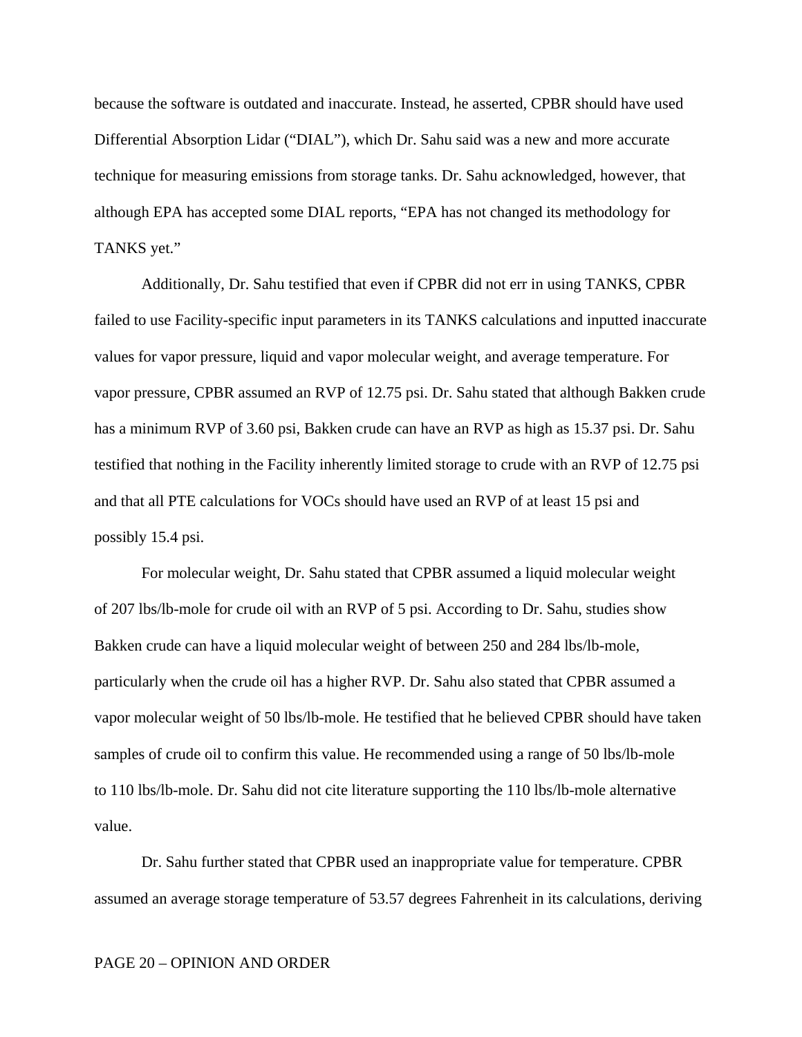because the software is outdated and inaccurate. Instead, he asserted, CPBR should have used Differential Absorption Lidar ("DIAL"), which Dr. Sahu said was a new and more accurate technique for measuring emissions from storage tanks. Dr. Sahu acknowledged, however, that although EPA has accepted some DIAL reports, "EPA has not changed its methodology for TANKS yet."

Additionally, Dr. Sahu testified that even if CPBR did not err in using TANKS, CPBR failed to use Facility-specific input parameters in its TANKS calculations and inputted inaccurate values for vapor pressure, liquid and vapor molecular weight, and average temperature. For vapor pressure, CPBR assumed an RVP of 12.75 psi. Dr. Sahu stated that although Bakken crude has a minimum RVP of 3.60 psi, Bakken crude can have an RVP as high as 15.37 psi. Dr. Sahu testified that nothing in the Facility inherently limited storage to crude with an RVP of 12.75 psi and that all PTE calculations for VOCs should have used an RVP of at least 15 psi and possibly 15.4 psi.

For molecular weight, Dr. Sahu stated that CPBR assumed a liquid molecular weight of 207 lbs/lb-mole for crude oil with an RVP of 5 psi. According to Dr. Sahu, studies show Bakken crude can have a liquid molecular weight of between 250 and 284 lbs/lb-mole, particularly when the crude oil has a higher RVP. Dr. Sahu also stated that CPBR assumed a vapor molecular weight of 50 lbs/lb-mole. He testified that he believed CPBR should have taken samples of crude oil to confirm this value. He recommended using a range of 50 lbs/lb-mole to 110 lbs/lb-mole. Dr. Sahu did not cite literature supporting the 110 lbs/lb-mole alternative value.

Dr. Sahu further stated that CPBR used an inappropriate value for temperature. CPBR assumed an average storage temperature of 53.57 degrees Fahrenheit in its calculations, deriving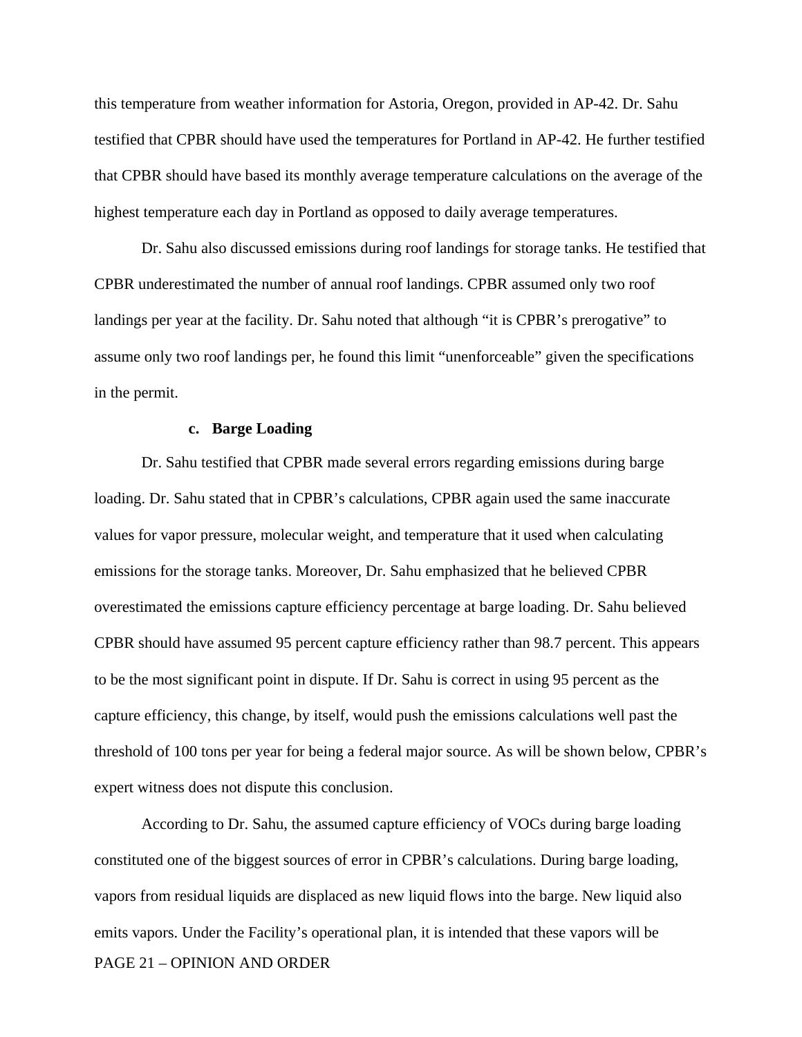this temperature from weather information for Astoria, Oregon, provided in AP-42. Dr. Sahu testified that CPBR should have used the temperatures for Portland in AP-42. He further testified that CPBR should have based its monthly average temperature calculations on the average of the highest temperature each day in Portland as opposed to daily average temperatures.

Dr. Sahu also discussed emissions during roof landings for storage tanks. He testified that CPBR underestimated the number of annual roof landings. CPBR assumed only two roof landings per year at the facility. Dr. Sahu noted that although "it is CPBR's prerogative" to assume only two roof landings per, he found this limit "unenforceable" given the specifications in the permit.

### **c. Barge Loading**

Dr. Sahu testified that CPBR made several errors regarding emissions during barge loading. Dr. Sahu stated that in CPBR's calculations, CPBR again used the same inaccurate values for vapor pressure, molecular weight, and temperature that it used when calculating emissions for the storage tanks. Moreover, Dr. Sahu emphasized that he believed CPBR overestimated the emissions capture efficiency percentage at barge loading. Dr. Sahu believed CPBR should have assumed 95 percent capture efficiency rather than 98.7 percent. This appears to be the most significant point in dispute. If Dr. Sahu is correct in using 95 percent as the capture efficiency, this change, by itself, would push the emissions calculations well past the threshold of 100 tons per year for being a federal major source. As will be shown below, CPBR's expert witness does not dispute this conclusion.

PAGE 21 – OPINION AND ORDER According to Dr. Sahu, the assumed capture efficiency of VOCs during barge loading constituted one of the biggest sources of error in CPBR's calculations. During barge loading, vapors from residual liquids are displaced as new liquid flows into the barge. New liquid also emits vapors. Under the Facility's operational plan, it is intended that these vapors will be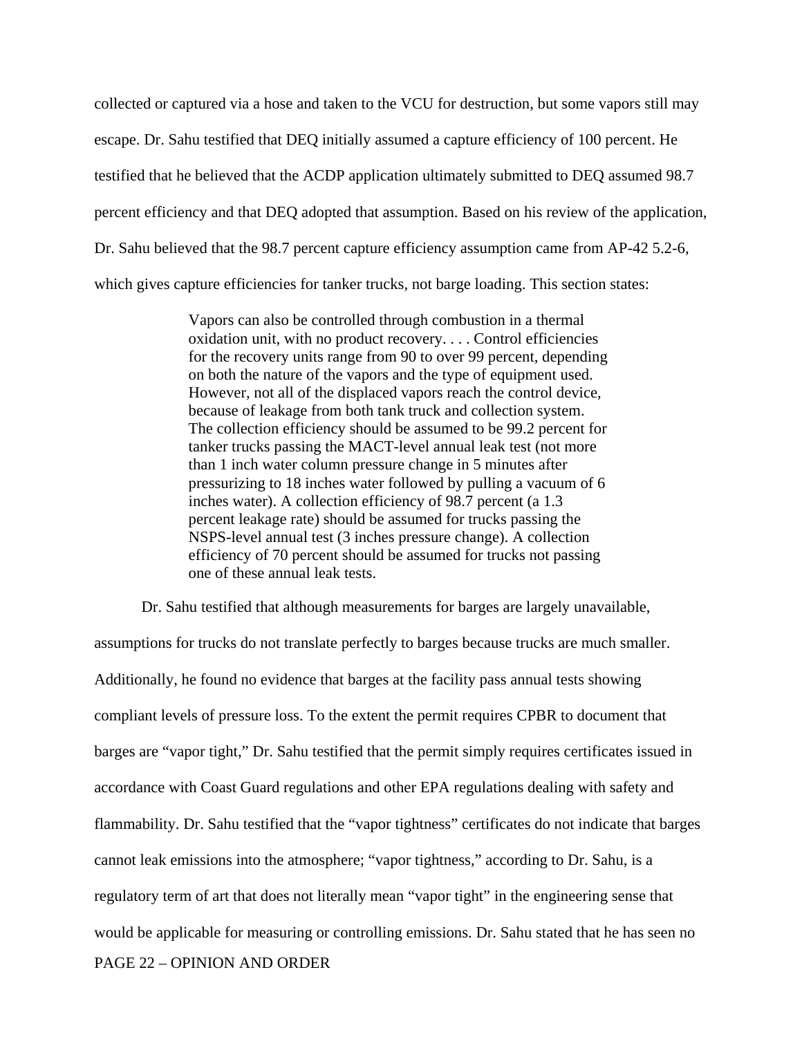collected or captured via a hose and taken to the VCU for destruction, but some vapors still may escape. Dr. Sahu testified that DEQ initially assumed a capture efficiency of 100 percent. He testified that he believed that the ACDP application ultimately submitted to DEQ assumed 98.7 percent efficiency and that DEQ adopted that assumption. Based on his review of the application, Dr. Sahu believed that the 98.7 percent capture efficiency assumption came from AP-42 5.2-6, which gives capture efficiencies for tanker trucks, not barge loading. This section states:

> Vapors can also be controlled through combustion in a thermal oxidation unit, with no product recovery. . . . Control efficiencies for the recovery units range from 90 to over 99 percent, depending on both the nature of the vapors and the type of equipment used. However, not all of the displaced vapors reach the control device, because of leakage from both tank truck and collection system. The collection efficiency should be assumed to be 99.2 percent for tanker trucks passing the MACT-level annual leak test (not more than 1 inch water column pressure change in 5 minutes after pressurizing to 18 inches water followed by pulling a vacuum of 6 inches water). A collection efficiency of 98.7 percent (a 1.3 percent leakage rate) should be assumed for trucks passing the NSPS-level annual test (3 inches pressure change). A collection efficiency of 70 percent should be assumed for trucks not passing one of these annual leak tests.

PAGE 22 – OPINION AND ORDER Dr. Sahu testified that although measurements for barges are largely unavailable, assumptions for trucks do not translate perfectly to barges because trucks are much smaller. Additionally, he found no evidence that barges at the facility pass annual tests showing compliant levels of pressure loss. To the extent the permit requires CPBR to document that barges are "vapor tight," Dr. Sahu testified that the permit simply requires certificates issued in accordance with Coast Guard regulations and other EPA regulations dealing with safety and flammability. Dr. Sahu testified that the "vapor tightness" certificates do not indicate that barges cannot leak emissions into the atmosphere; "vapor tightness," according to Dr. Sahu, is a regulatory term of art that does not literally mean "vapor tight" in the engineering sense that would be applicable for measuring or controlling emissions. Dr. Sahu stated that he has seen no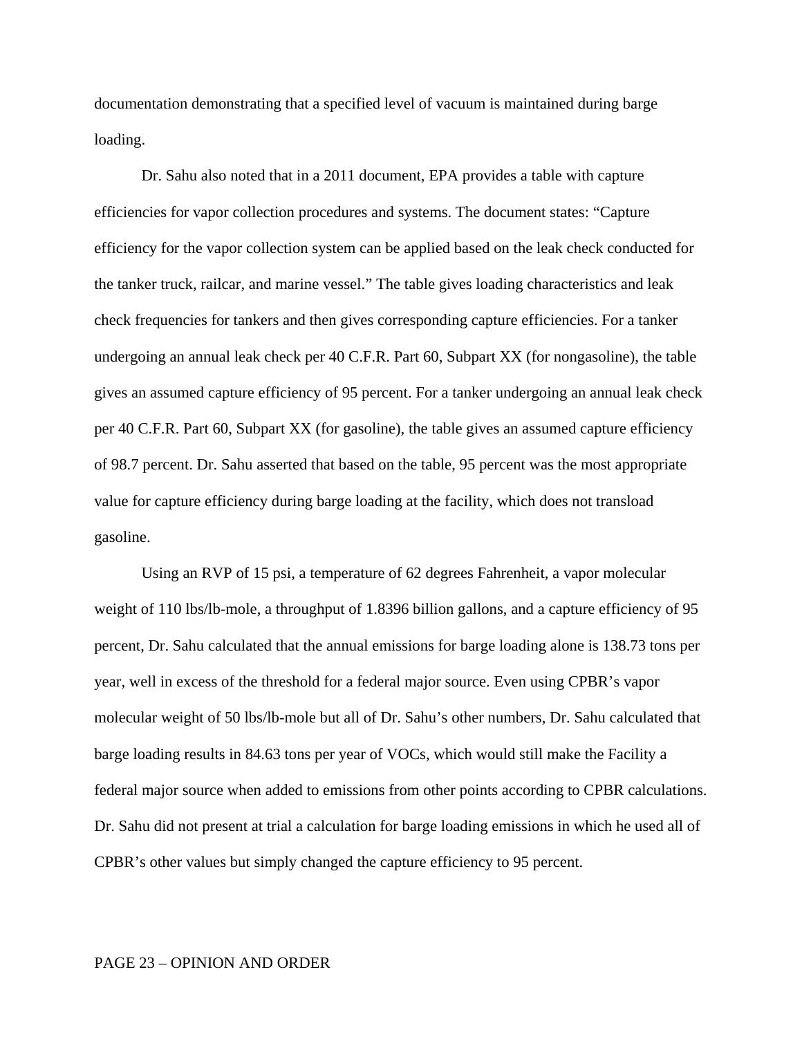documentation demonstrating that a specified level of vacuum is maintained during barge loading.

 Dr. Sahu also noted that in a 2011 document, EPA provides a table with capture efficiencies for vapor collection procedures and systems. The document states: "Capture efficiency for the vapor collection system can be applied based on the leak check conducted for the tanker truck, railcar, and marine vessel." The table gives loading characteristics and leak check frequencies for tankers and then gives corresponding capture efficiencies. For a tanker undergoing an annual leak check per 40 C.F.R. Part 60, Subpart XX (for nongasoline), the table gives an assumed capture efficiency of 95 percent. For a tanker undergoing an annual leak check per 40 C.F.R. Part 60, Subpart XX (for gasoline), the table gives an assumed capture efficiency of 98.7 percent. Dr. Sahu asserted that based on the table, 95 percent was the most appropriate value for capture efficiency during barge loading at the facility, which does not transload gasoline.

 Using an RVP of 15 psi, a temperature of 62 degrees Fahrenheit, a vapor molecular weight of 110 lbs/lb-mole, a throughput of 1.8396 billion gallons, and a capture efficiency of 95 percent, Dr. Sahu calculated that the annual emissions for barge loading alone is 138.73 tons per year, well in excess of the threshold for a federal major source. Even using CPBR's vapor molecular weight of 50 lbs/lb-mole but all of Dr. Sahu's other numbers, Dr. Sahu calculated that barge loading results in 84.63 tons per year of VOCs, which would still make the Facility a federal major source when added to emissions from other points according to CPBR calculations. Dr. Sahu did not present at trial a calculation for barge loading emissions in which he used all of CPBR's other values but simply changed the capture efficiency to 95 percent.

#### PAGE 23 – OPINION AND ORDER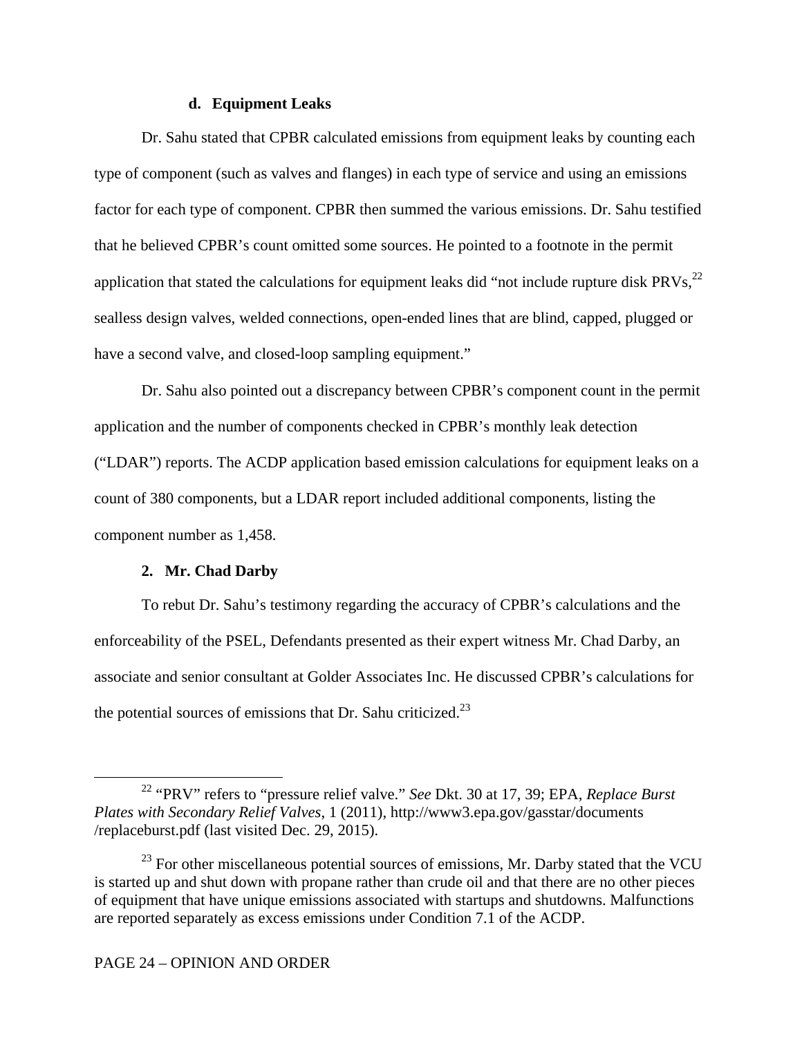### **d. Equipment Leaks**

Dr. Sahu stated that CPBR calculated emissions from equipment leaks by counting each type of component (such as valves and flanges) in each type of service and using an emissions factor for each type of component. CPBR then summed the various emissions. Dr. Sahu testified that he believed CPBR's count omitted some sources. He pointed to a footnote in the permit application that stated the calculations for equipment leaks did "not include rupture disk  $PRVs<sub>s</sub><sup>22</sup>$ " sealless design valves, welded connections, open-ended lines that are blind, capped, plugged or have a second valve, and closed-loop sampling equipment."

Dr. Sahu also pointed out a discrepancy between CPBR's component count in the permit application and the number of components checked in CPBR's monthly leak detection ("LDAR") reports. The ACDP application based emission calculations for equipment leaks on a count of 380 components, but a LDAR report included additional components, listing the component number as 1,458.

### **2. Mr. Chad Darby**

To rebut Dr. Sahu's testimony regarding the accuracy of CPBR's calculations and the enforceability of the PSEL, Defendants presented as their expert witness Mr. Chad Darby, an associate and senior consultant at Golder Associates Inc. He discussed CPBR's calculations for the potential sources of emissions that Dr. Sahu criticized.<sup>23</sup>

<sup>22</sup> "PRV" refers to "pressure relief valve." *See* Dkt. 30 at 17, 39; EPA, *Replace Burst Plates with Secondary Relief Valves*, 1 (2011), http://www3.epa.gov/gasstar/documents /replaceburst.pdf (last visited Dec. 29, 2015).

 $23$  For other miscellaneous potential sources of emissions, Mr. Darby stated that the VCU is started up and shut down with propane rather than crude oil and that there are no other pieces of equipment that have unique emissions associated with startups and shutdowns. Malfunctions are reported separately as excess emissions under Condition 7.1 of the ACDP.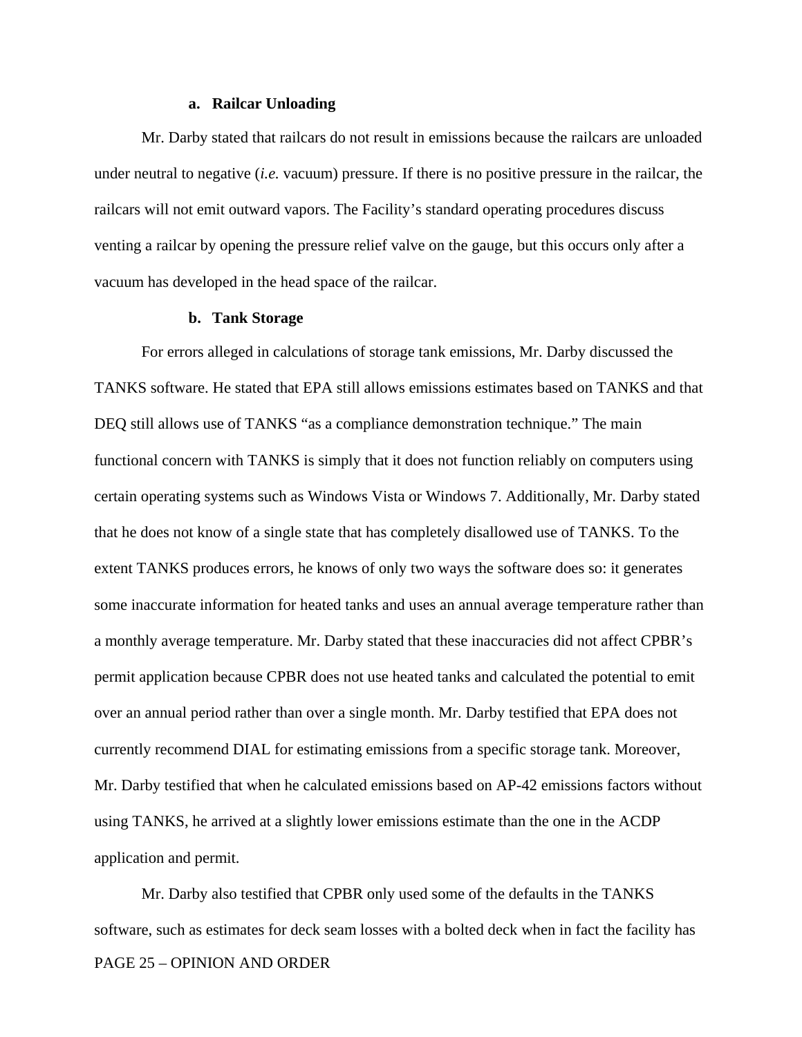#### **a. Railcar Unloading**

Mr. Darby stated that railcars do not result in emissions because the railcars are unloaded under neutral to negative (*i.e.* vacuum) pressure. If there is no positive pressure in the railcar, the railcars will not emit outward vapors. The Facility's standard operating procedures discuss venting a railcar by opening the pressure relief valve on the gauge, but this occurs only after a vacuum has developed in the head space of the railcar.

#### **b. Tank Storage**

For errors alleged in calculations of storage tank emissions, Mr. Darby discussed the TANKS software. He stated that EPA still allows emissions estimates based on TANKS and that DEQ still allows use of TANKS "as a compliance demonstration technique." The main functional concern with TANKS is simply that it does not function reliably on computers using certain operating systems such as Windows Vista or Windows 7. Additionally, Mr. Darby stated that he does not know of a single state that has completely disallowed use of TANKS. To the extent TANKS produces errors, he knows of only two ways the software does so: it generates some inaccurate information for heated tanks and uses an annual average temperature rather than a monthly average temperature. Mr. Darby stated that these inaccuracies did not affect CPBR's permit application because CPBR does not use heated tanks and calculated the potential to emit over an annual period rather than over a single month. Mr. Darby testified that EPA does not currently recommend DIAL for estimating emissions from a specific storage tank. Moreover, Mr. Darby testified that when he calculated emissions based on AP-42 emissions factors without using TANKS, he arrived at a slightly lower emissions estimate than the one in the ACDP application and permit.

PAGE 25 – OPINION AND ORDER Mr. Darby also testified that CPBR only used some of the defaults in the TANKS software, such as estimates for deck seam losses with a bolted deck when in fact the facility has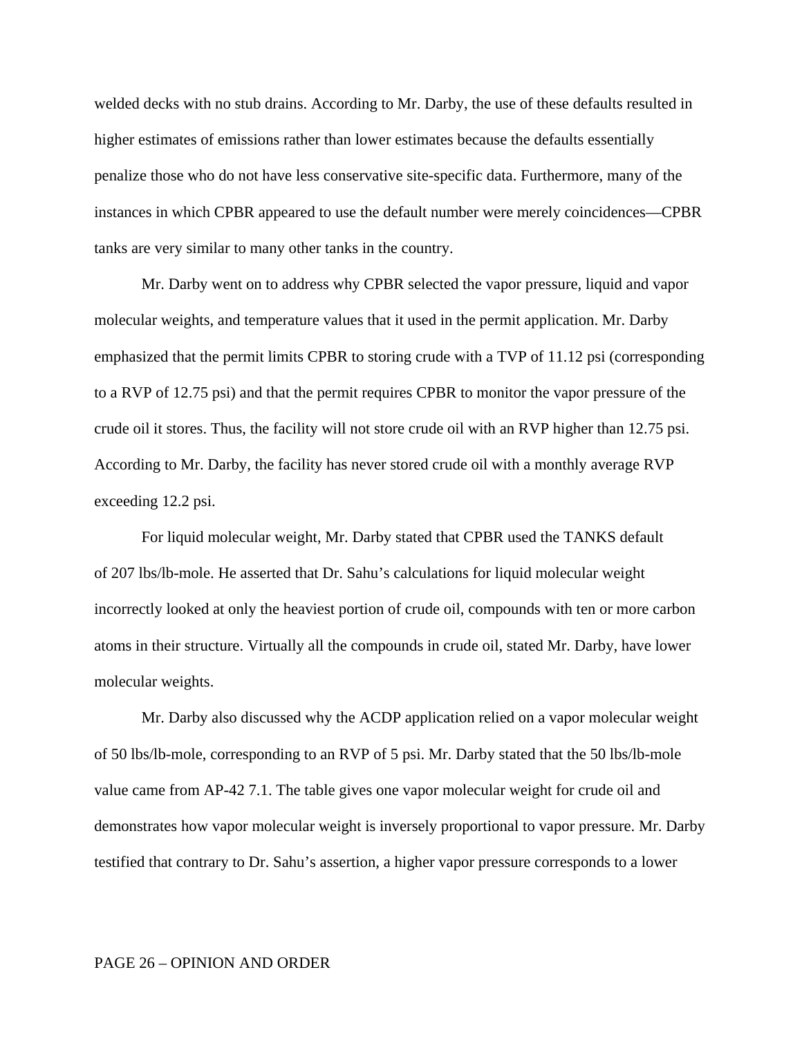welded decks with no stub drains. According to Mr. Darby, the use of these defaults resulted in higher estimates of emissions rather than lower estimates because the defaults essentially penalize those who do not have less conservative site-specific data. Furthermore, many of the instances in which CPBR appeared to use the default number were merely coincidences—CPBR tanks are very similar to many other tanks in the country.

Mr. Darby went on to address why CPBR selected the vapor pressure, liquid and vapor molecular weights, and temperature values that it used in the permit application. Mr. Darby emphasized that the permit limits CPBR to storing crude with a TVP of 11.12 psi (corresponding to a RVP of 12.75 psi) and that the permit requires CPBR to monitor the vapor pressure of the crude oil it stores. Thus, the facility will not store crude oil with an RVP higher than 12.75 psi. According to Mr. Darby, the facility has never stored crude oil with a monthly average RVP exceeding 12.2 psi.

For liquid molecular weight, Mr. Darby stated that CPBR used the TANKS default of 207 lbs/lb-mole. He asserted that Dr. Sahu's calculations for liquid molecular weight incorrectly looked at only the heaviest portion of crude oil, compounds with ten or more carbon atoms in their structure. Virtually all the compounds in crude oil, stated Mr. Darby, have lower molecular weights.

Mr. Darby also discussed why the ACDP application relied on a vapor molecular weight of 50 lbs/lb-mole, corresponding to an RVP of 5 psi. Mr. Darby stated that the 50 lbs/lb-mole value came from AP-42 7.1. The table gives one vapor molecular weight for crude oil and demonstrates how vapor molecular weight is inversely proportional to vapor pressure. Mr. Darby testified that contrary to Dr. Sahu's assertion, a higher vapor pressure corresponds to a lower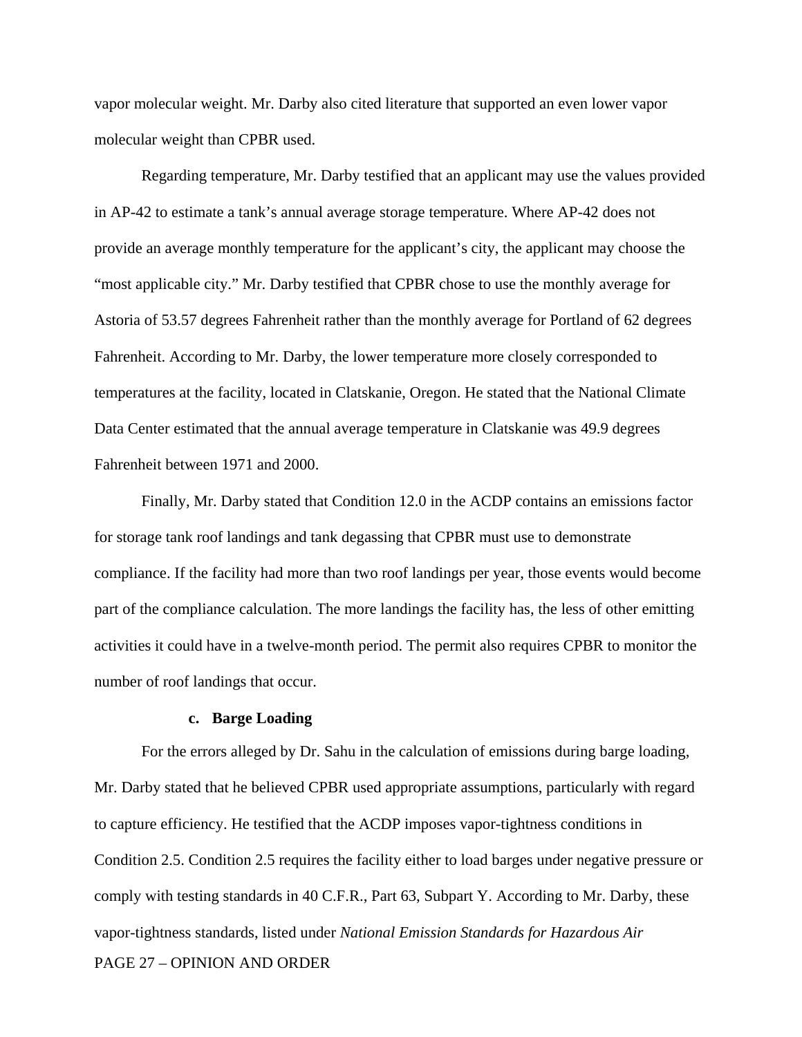vapor molecular weight. Mr. Darby also cited literature that supported an even lower vapor molecular weight than CPBR used.

Regarding temperature, Mr. Darby testified that an applicant may use the values provided in AP-42 to estimate a tank's annual average storage temperature. Where AP-42 does not provide an average monthly temperature for the applicant's city, the applicant may choose the "most applicable city." Mr. Darby testified that CPBR chose to use the monthly average for Astoria of 53.57 degrees Fahrenheit rather than the monthly average for Portland of 62 degrees Fahrenheit. According to Mr. Darby, the lower temperature more closely corresponded to temperatures at the facility, located in Clatskanie, Oregon. He stated that the National Climate Data Center estimated that the annual average temperature in Clatskanie was 49.9 degrees Fahrenheit between 1971 and 2000.

Finally, Mr. Darby stated that Condition 12.0 in the ACDP contains an emissions factor for storage tank roof landings and tank degassing that CPBR must use to demonstrate compliance. If the facility had more than two roof landings per year, those events would become part of the compliance calculation. The more landings the facility has, the less of other emitting activities it could have in a twelve-month period. The permit also requires CPBR to monitor the number of roof landings that occur.

#### **c. Barge Loading**

PAGE 27 – OPINION AND ORDER For the errors alleged by Dr. Sahu in the calculation of emissions during barge loading, Mr. Darby stated that he believed CPBR used appropriate assumptions, particularly with regard to capture efficiency. He testified that the ACDP imposes vapor-tightness conditions in Condition 2.5. Condition 2.5 requires the facility either to load barges under negative pressure or comply with testing standards in 40 C.F.R., Part 63, Subpart Y. According to Mr. Darby, these vapor-tightness standards, listed under *National Emission Standards for Hazardous Air*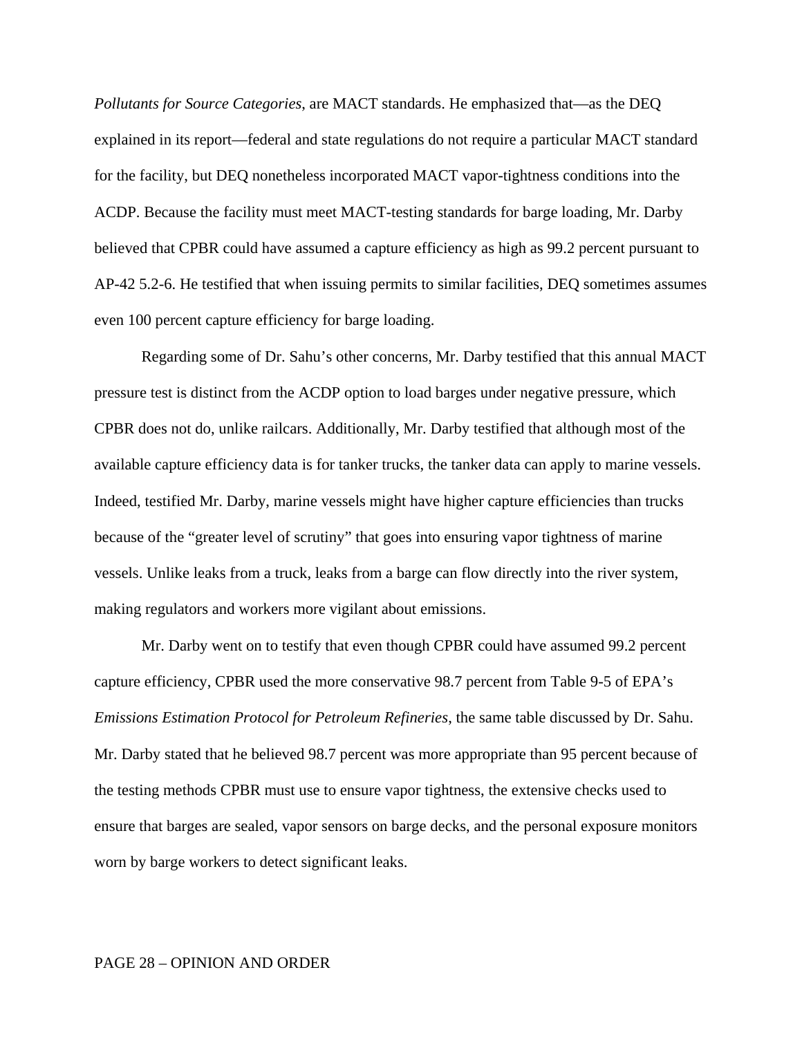*Pollutants for Source Categories*, are MACT standards. He emphasized that—as the DEQ explained in its report—federal and state regulations do not require a particular MACT standard for the facility, but DEQ nonetheless incorporated MACT vapor-tightness conditions into the ACDP. Because the facility must meet MACT-testing standards for barge loading, Mr. Darby believed that CPBR could have assumed a capture efficiency as high as 99.2 percent pursuant to AP-42 5.2-6. He testified that when issuing permits to similar facilities, DEQ sometimes assumes even 100 percent capture efficiency for barge loading.

Regarding some of Dr. Sahu's other concerns, Mr. Darby testified that this annual MACT pressure test is distinct from the ACDP option to load barges under negative pressure, which CPBR does not do, unlike railcars. Additionally, Mr. Darby testified that although most of the available capture efficiency data is for tanker trucks, the tanker data can apply to marine vessels. Indeed, testified Mr. Darby, marine vessels might have higher capture efficiencies than trucks because of the "greater level of scrutiny" that goes into ensuring vapor tightness of marine vessels. Unlike leaks from a truck, leaks from a barge can flow directly into the river system, making regulators and workers more vigilant about emissions.

Mr. Darby went on to testify that even though CPBR could have assumed 99.2 percent capture efficiency, CPBR used the more conservative 98.7 percent from Table 9-5 of EPA's *Emissions Estimation Protocol for Petroleum Refineries*, the same table discussed by Dr. Sahu. Mr. Darby stated that he believed 98.7 percent was more appropriate than 95 percent because of the testing methods CPBR must use to ensure vapor tightness, the extensive checks used to ensure that barges are sealed, vapor sensors on barge decks, and the personal exposure monitors worn by barge workers to detect significant leaks.

#### PAGE 28 – OPINION AND ORDER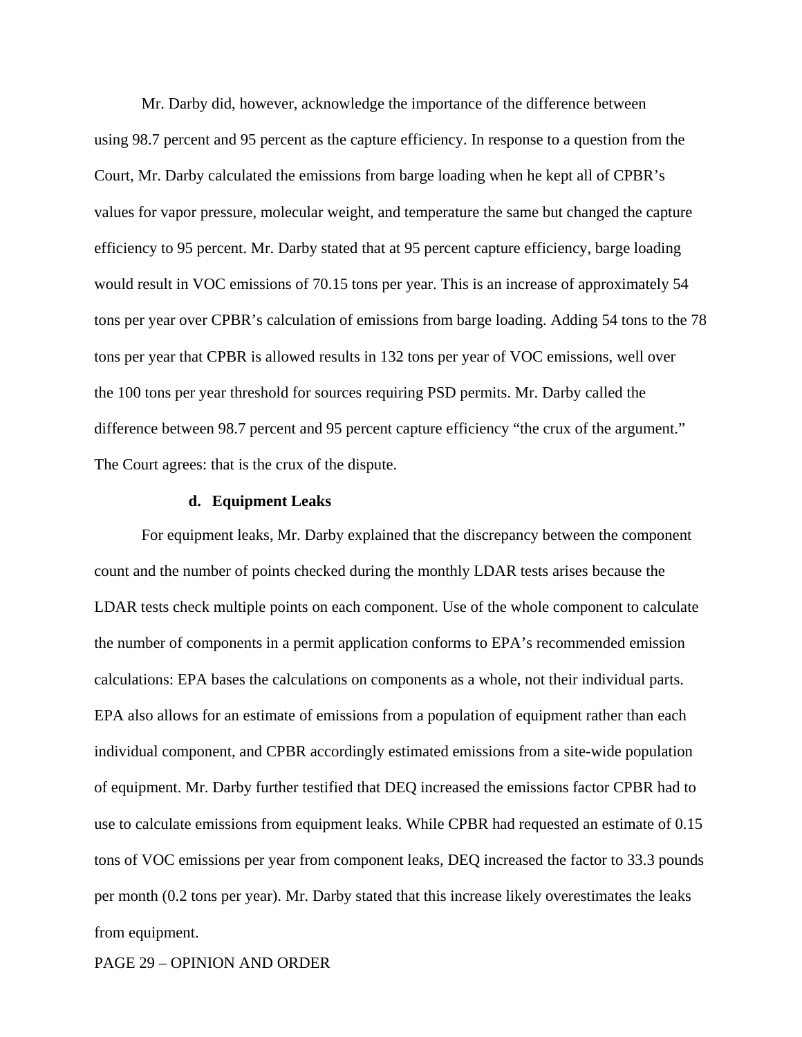Mr. Darby did, however, acknowledge the importance of the difference between using 98.7 percent and 95 percent as the capture efficiency. In response to a question from the Court, Mr. Darby calculated the emissions from barge loading when he kept all of CPBR's values for vapor pressure, molecular weight, and temperature the same but changed the capture efficiency to 95 percent. Mr. Darby stated that at 95 percent capture efficiency, barge loading would result in VOC emissions of 70.15 tons per year. This is an increase of approximately 54 tons per year over CPBR's calculation of emissions from barge loading. Adding 54 tons to the 78 tons per year that CPBR is allowed results in 132 tons per year of VOC emissions, well over the 100 tons per year threshold for sources requiring PSD permits. Mr. Darby called the difference between 98.7 percent and 95 percent capture efficiency "the crux of the argument." The Court agrees: that is the crux of the dispute.

#### **d. Equipment Leaks**

For equipment leaks, Mr. Darby explained that the discrepancy between the component count and the number of points checked during the monthly LDAR tests arises because the LDAR tests check multiple points on each component. Use of the whole component to calculate the number of components in a permit application conforms to EPA's recommended emission calculations: EPA bases the calculations on components as a whole, not their individual parts. EPA also allows for an estimate of emissions from a population of equipment rather than each individual component, and CPBR accordingly estimated emissions from a site-wide population of equipment. Mr. Darby further testified that DEQ increased the emissions factor CPBR had to use to calculate emissions from equipment leaks. While CPBR had requested an estimate of 0.15 tons of VOC emissions per year from component leaks, DEQ increased the factor to 33.3 pounds per month (0.2 tons per year). Mr. Darby stated that this increase likely overestimates the leaks from equipment.

PAGE 29 – OPINION AND ORDER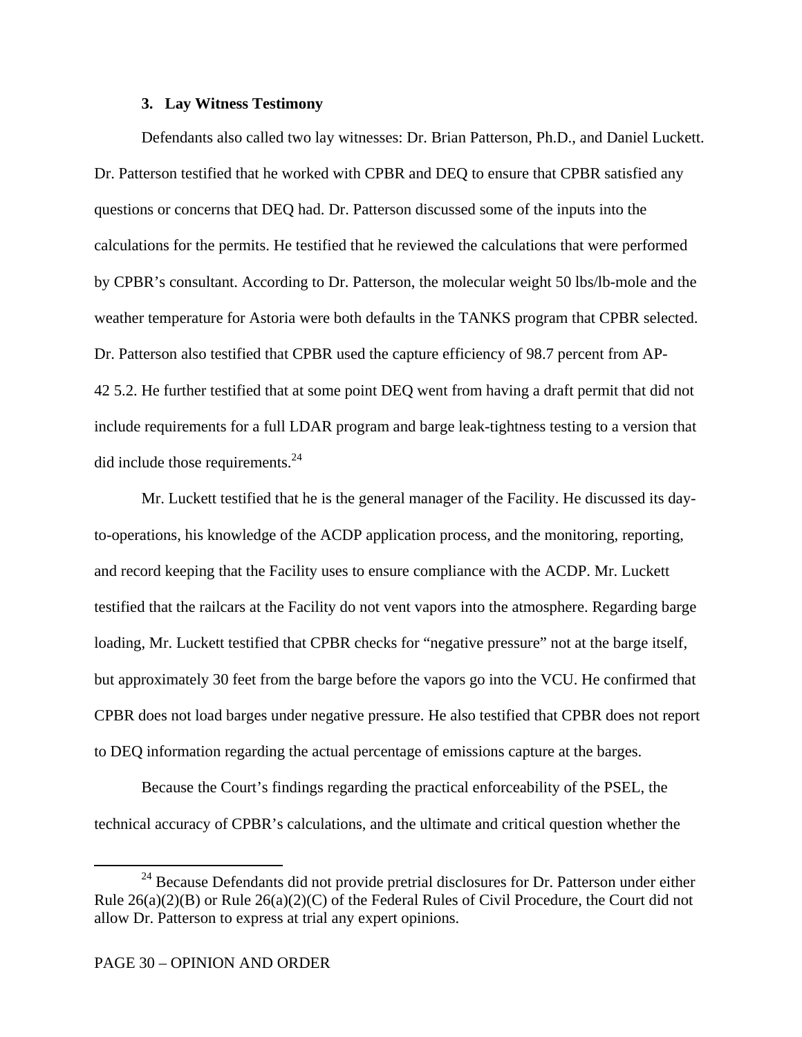### **3. Lay Witness Testimony**

Defendants also called two lay witnesses: Dr. Brian Patterson, Ph.D., and Daniel Luckett. Dr. Patterson testified that he worked with CPBR and DEQ to ensure that CPBR satisfied any questions or concerns that DEQ had. Dr. Patterson discussed some of the inputs into the calculations for the permits. He testified that he reviewed the calculations that were performed by CPBR's consultant. According to Dr. Patterson, the molecular weight 50 lbs/lb-mole and the weather temperature for Astoria were both defaults in the TANKS program that CPBR selected. Dr. Patterson also testified that CPBR used the capture efficiency of 98.7 percent from AP-42 5.2. He further testified that at some point DEQ went from having a draft permit that did not include requirements for a full LDAR program and barge leak-tightness testing to a version that did include those requirements. $^{24}$ 

Mr. Luckett testified that he is the general manager of the Facility. He discussed its dayto-operations, his knowledge of the ACDP application process, and the monitoring, reporting, and record keeping that the Facility uses to ensure compliance with the ACDP. Mr. Luckett testified that the railcars at the Facility do not vent vapors into the atmosphere. Regarding barge loading, Mr. Luckett testified that CPBR checks for "negative pressure" not at the barge itself, but approximately 30 feet from the barge before the vapors go into the VCU. He confirmed that CPBR does not load barges under negative pressure. He also testified that CPBR does not report to DEQ information regarding the actual percentage of emissions capture at the barges.

Because the Court's findings regarding the practical enforceability of the PSEL, the technical accuracy of CPBR's calculations, and the ultimate and critical question whether the

<u>.</u>

<sup>&</sup>lt;sup>24</sup> Because Defendants did not provide pretrial disclosures for Dr. Patterson under either Rule 26(a)(2)(B) or Rule 26(a)(2)(C) of the Federal Rules of Civil Procedure, the Court did not allow Dr. Patterson to express at trial any expert opinions.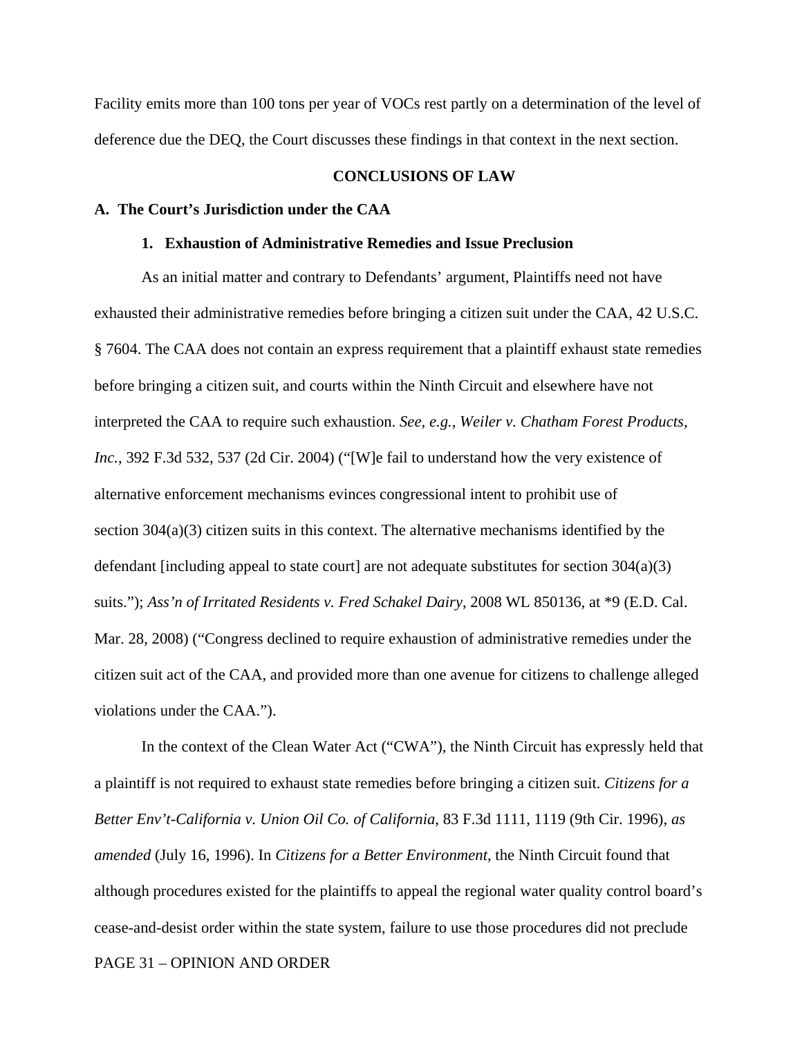Facility emits more than 100 tons per year of VOCs rest partly on a determination of the level of deference due the DEQ, the Court discusses these findings in that context in the next section.

## **CONCLUSIONS OF LAW**

## **A. The Court's Jurisdiction under the CAA**

#### **1. Exhaustion of Administrative Remedies and Issue Preclusion**

As an initial matter and contrary to Defendants' argument, Plaintiffs need not have exhausted their administrative remedies before bringing a citizen suit under the CAA, 42 U.S.C. § 7604. The CAA does not contain an express requirement that a plaintiff exhaust state remedies before bringing a citizen suit, and courts within the Ninth Circuit and elsewhere have not interpreted the CAA to require such exhaustion. *See, e.g.*, *Weiler v. Chatham Forest Products, Inc.*, 392 F.3d 532, 537 (2d Cir. 2004) ("[W]e fail to understand how the very existence of alternative enforcement mechanisms evinces congressional intent to prohibit use of section 304(a)(3) citizen suits in this context. The alternative mechanisms identified by the defendant [including appeal to state court] are not adequate substitutes for section  $304(a)(3)$ suits."); *Ass'n of Irritated Residents v. Fred Schakel Dairy*, 2008 WL 850136, at \*9 (E.D. Cal. Mar. 28, 2008) ("Congress declined to require exhaustion of administrative remedies under the citizen suit act of the CAA, and provided more than one avenue for citizens to challenge alleged violations under the CAA.").

PAGE 31 – OPINION AND ORDER In the context of the Clean Water Act ("CWA"), the Ninth Circuit has expressly held that a plaintiff is not required to exhaust state remedies before bringing a citizen suit. *Citizens for a Better Env't-California v. Union Oil Co. of California*, 83 F.3d 1111, 1119 (9th Cir. 1996), *as amended* (July 16, 1996). In *Citizens for a Better Environment*, the Ninth Circuit found that although procedures existed for the plaintiffs to appeal the regional water quality control board's cease-and-desist order within the state system, failure to use those procedures did not preclude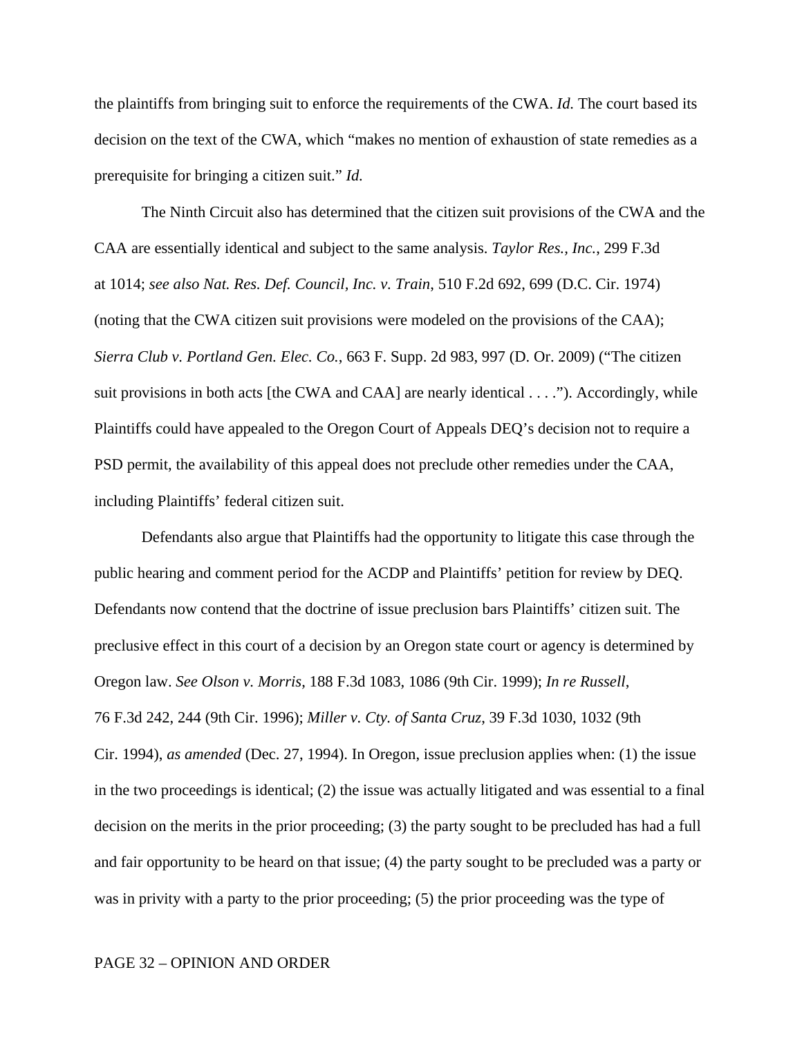the plaintiffs from bringing suit to enforce the requirements of the CWA. *Id.* The court based its decision on the text of the CWA, which "makes no mention of exhaustion of state remedies as a prerequisite for bringing a citizen suit." *Id.*

The Ninth Circuit also has determined that the citizen suit provisions of the CWA and the CAA are essentially identical and subject to the same analysis. *Taylor Res., Inc.*, 299 F.3d at 1014; *see also Nat. Res. Def. Council, Inc. v. Train*, 510 F.2d 692, 699 (D.C. Cir. 1974) (noting that the CWA citizen suit provisions were modeled on the provisions of the CAA); *Sierra Club v. Portland Gen. Elec. Co.*, 663 F. Supp. 2d 983, 997 (D. Or. 2009) ("The citizen suit provisions in both acts [the CWA and CAA] are nearly identical . . . ."). Accordingly, while Plaintiffs could have appealed to the Oregon Court of Appeals DEQ's decision not to require a PSD permit, the availability of this appeal does not preclude other remedies under the CAA, including Plaintiffs' federal citizen suit.

Defendants also argue that Plaintiffs had the opportunity to litigate this case through the public hearing and comment period for the ACDP and Plaintiffs' petition for review by DEQ. Defendants now contend that the doctrine of issue preclusion bars Plaintiffs' citizen suit. The preclusive effect in this court of a decision by an Oregon state court or agency is determined by Oregon law. *See Olson v. Morris*, 188 F.3d 1083, 1086 (9th Cir. 1999); *In re Russell*, 76 F.3d 242, 244 (9th Cir. 1996); *Miller v. Cty. of Santa Cruz*, 39 F.3d 1030, 1032 (9th Cir. 1994), *as amended* (Dec. 27, 1994). In Oregon, issue preclusion applies when: (1) the issue in the two proceedings is identical; (2) the issue was actually litigated and was essential to a final decision on the merits in the prior proceeding; (3) the party sought to be precluded has had a full and fair opportunity to be heard on that issue; (4) the party sought to be precluded was a party or was in privity with a party to the prior proceeding; (5) the prior proceeding was the type of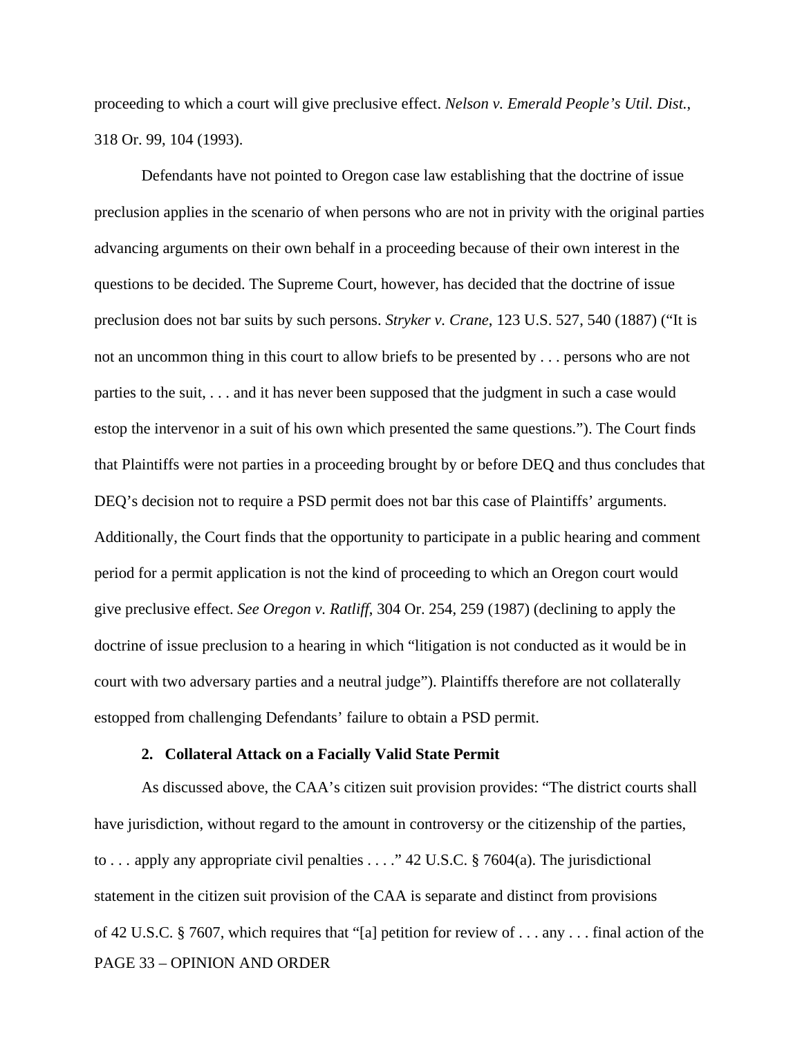proceeding to which a court will give preclusive effect. *Nelson v. Emerald People's Util. Dist.*, 318 Or. 99, 104 (1993).

Defendants have not pointed to Oregon case law establishing that the doctrine of issue preclusion applies in the scenario of when persons who are not in privity with the original parties advancing arguments on their own behalf in a proceeding because of their own interest in the questions to be decided. The Supreme Court, however, has decided that the doctrine of issue preclusion does not bar suits by such persons. *Stryker v. Crane*, 123 U.S. 527, 540 (1887) ("It is not an uncommon thing in this court to allow briefs to be presented by . . . persons who are not parties to the suit, . . . and it has never been supposed that the judgment in such a case would estop the intervenor in a suit of his own which presented the same questions."). The Court finds that Plaintiffs were not parties in a proceeding brought by or before DEQ and thus concludes that DEQ's decision not to require a PSD permit does not bar this case of Plaintiffs' arguments. Additionally, the Court finds that the opportunity to participate in a public hearing and comment period for a permit application is not the kind of proceeding to which an Oregon court would give preclusive effect. *See Oregon v. Ratliff*, 304 Or. 254, 259 (1987) (declining to apply the doctrine of issue preclusion to a hearing in which "litigation is not conducted as it would be in court with two adversary parties and a neutral judge"). Plaintiffs therefore are not collaterally estopped from challenging Defendants' failure to obtain a PSD permit.

#### **2. Collateral Attack on a Facially Valid State Permit**

PAGE 33 – OPINION AND ORDER As discussed above, the CAA's citizen suit provision provides: "The district courts shall have jurisdiction, without regard to the amount in controversy or the citizenship of the parties, to . . . apply any appropriate civil penalties . . . ." 42 U.S.C. § 7604(a). The jurisdictional statement in the citizen suit provision of the CAA is separate and distinct from provisions of 42 U.S.C. § 7607, which requires that "[a] petition for review of . . . any . . . final action of the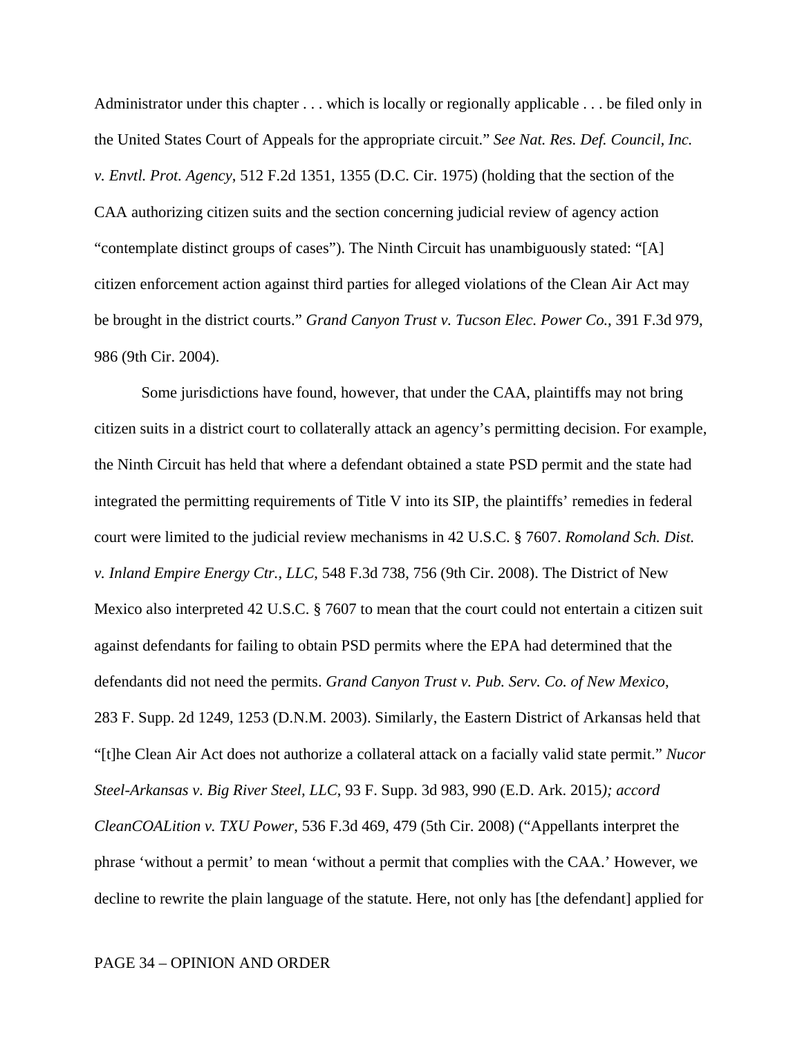Administrator under this chapter . . . which is locally or regionally applicable . . . be filed only in the United States Court of Appeals for the appropriate circuit." *See Nat. Res. Def. Council, Inc. v. Envtl. Prot. Agency*, 512 F.2d 1351, 1355 (D.C. Cir. 1975) (holding that the section of the CAA authorizing citizen suits and the section concerning judicial review of agency action "contemplate distinct groups of cases"). The Ninth Circuit has unambiguously stated: "[A] citizen enforcement action against third parties for alleged violations of the Clean Air Act may be brought in the district courts." *Grand Canyon Trust v. Tucson Elec. Power Co.*, 391 F.3d 979, 986 (9th Cir. 2004).

Some jurisdictions have found, however, that under the CAA, plaintiffs may not bring citizen suits in a district court to collaterally attack an agency's permitting decision. For example, the Ninth Circuit has held that where a defendant obtained a state PSD permit and the state had integrated the permitting requirements of Title V into its SIP, the plaintiffs' remedies in federal court were limited to the judicial review mechanisms in 42 U.S.C. § 7607. *Romoland Sch. Dist. v. Inland Empire Energy Ctr., LLC*, 548 F.3d 738, 756 (9th Cir. 2008). The District of New Mexico also interpreted 42 U.S.C. § 7607 to mean that the court could not entertain a citizen suit against defendants for failing to obtain PSD permits where the EPA had determined that the defendants did not need the permits. *Grand Canyon Trust v. Pub. Serv. Co. of New Mexico*, 283 F. Supp. 2d 1249, 1253 (D.N.M. 2003). Similarly, the Eastern District of Arkansas held that "[t]he Clean Air Act does not authorize a collateral attack on a facially valid state permit." *Nucor Steel-Arkansas v. Big River Steel, LLC*, 93 F. Supp. 3d 983, 990 (E.D. Ark. 2015*); accord CleanCOALition v. TXU Power*, 536 F.3d 469, 479 (5th Cir. 2008) ("Appellants interpret the phrase 'without a permit' to mean 'without a permit that complies with the CAA.' However, we decline to rewrite the plain language of the statute. Here, not only has [the defendant] applied for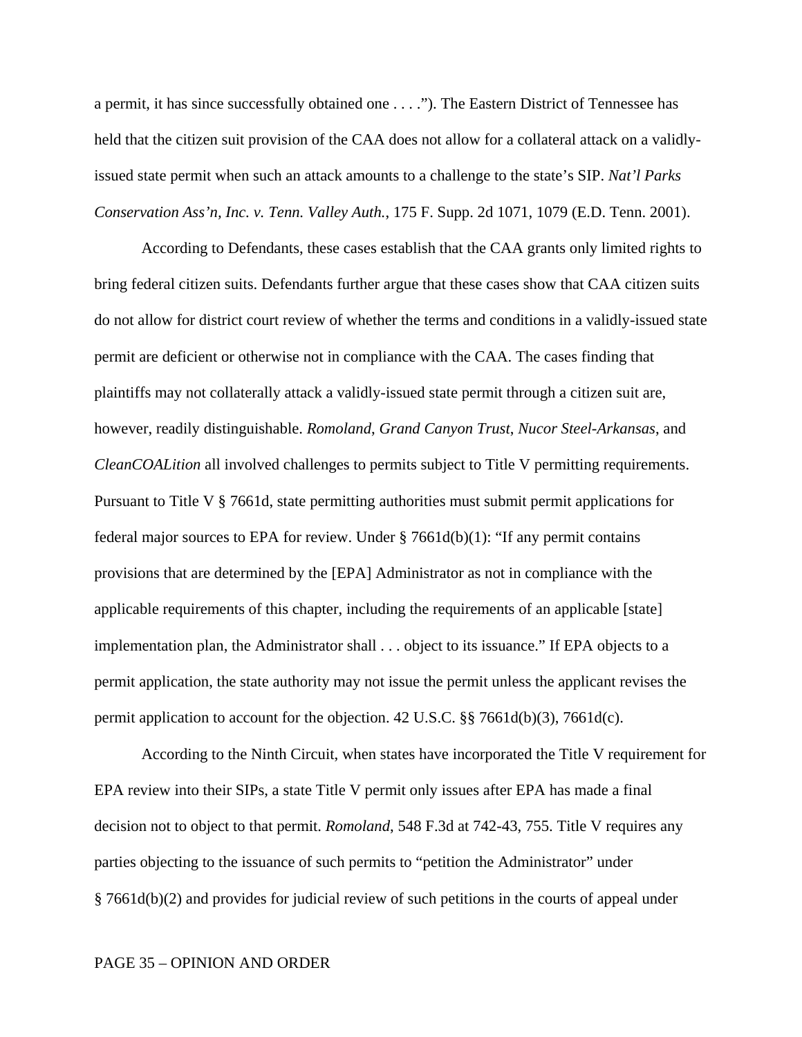a permit, it has since successfully obtained one . . . ."). The Eastern District of Tennessee has held that the citizen suit provision of the CAA does not allow for a collateral attack on a validlyissued state permit when such an attack amounts to a challenge to the state's SIP. *Nat'l Parks Conservation Ass'n, Inc. v. Tenn. Valley Auth.*, 175 F. Supp. 2d 1071, 1079 (E.D. Tenn. 2001).

According to Defendants, these cases establish that the CAA grants only limited rights to bring federal citizen suits. Defendants further argue that these cases show that CAA citizen suits do not allow for district court review of whether the terms and conditions in a validly-issued state permit are deficient or otherwise not in compliance with the CAA. The cases finding that plaintiffs may not collaterally attack a validly-issued state permit through a citizen suit are, however, readily distinguishable. *Romoland*, *Grand Canyon Trust*, *Nucor Steel-Arkansas*, and *CleanCOALition* all involved challenges to permits subject to Title V permitting requirements. Pursuant to Title V § 7661d, state permitting authorities must submit permit applications for federal major sources to EPA for review. Under  $\S$  7661d(b)(1): "If any permit contains provisions that are determined by the [EPA] Administrator as not in compliance with the applicable requirements of this chapter, including the requirements of an applicable [state] implementation plan, the Administrator shall . . . object to its issuance." If EPA objects to a permit application, the state authority may not issue the permit unless the applicant revises the permit application to account for the objection. 42 U.S.C. §§ 7661d(b)(3), 7661d(c).

According to the Ninth Circuit, when states have incorporated the Title V requirement for EPA review into their SIPs, a state Title V permit only issues after EPA has made a final decision not to object to that permit. *Romoland*, 548 F.3d at 742-43, 755. Title V requires any parties objecting to the issuance of such permits to "petition the Administrator" under § 7661d(b)(2) and provides for judicial review of such petitions in the courts of appeal under

#### PAGE 35 – OPINION AND ORDER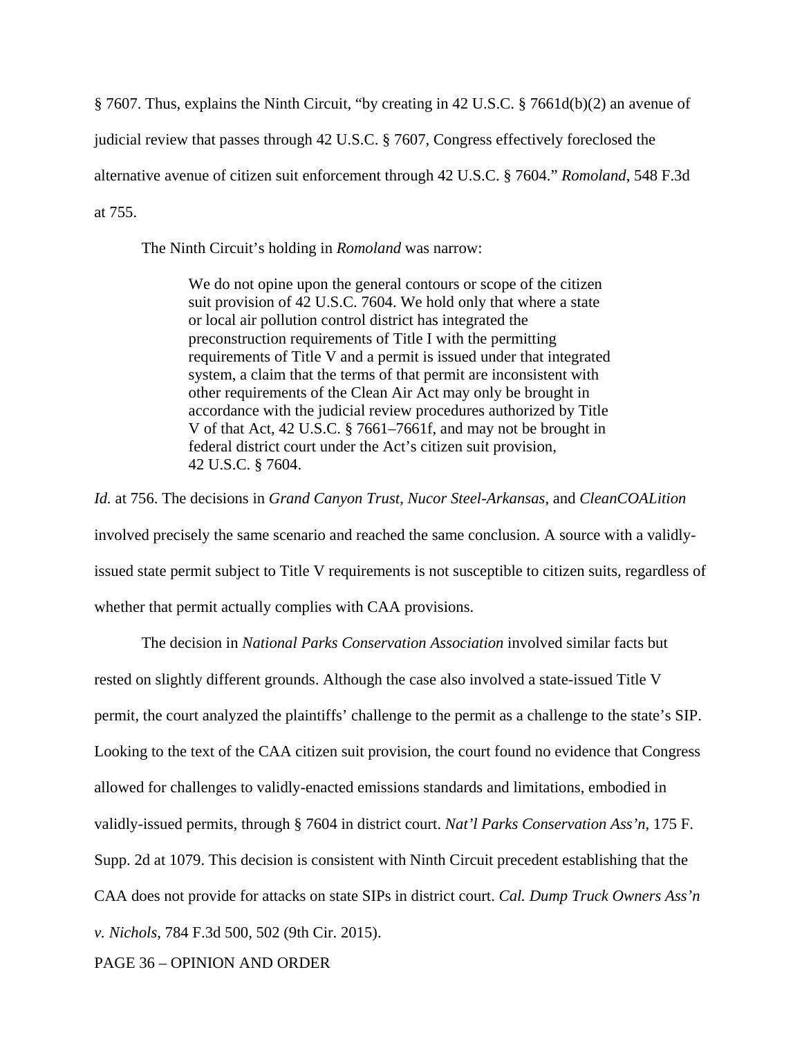§ 7607. Thus, explains the Ninth Circuit, "by creating in 42 U.S.C. § 7661d(b)(2) an avenue of judicial review that passes through 42 U.S.C. § 7607, Congress effectively foreclosed the alternative avenue of citizen suit enforcement through 42 U.S.C. § 7604." *Romoland*, 548 F.3d at 755.

The Ninth Circuit's holding in *Romoland* was narrow:

We do not opine upon the general contours or scope of the citizen suit provision of 42 U.S.C. 7604. We hold only that where a state or local air pollution control district has integrated the preconstruction requirements of Title I with the permitting requirements of Title V and a permit is issued under that integrated system, a claim that the terms of that permit are inconsistent with other requirements of the Clean Air Act may only be brought in accordance with the judicial review procedures authorized by Title V of that Act, 42 U.S.C. § 7661–7661f, and may not be brought in federal district court under the Act's citizen suit provision, 42 U.S.C. § 7604.

*Id.* at 756. The decisions in *Grand Canyon Trust*, *Nucor Steel-Arkansas*, and *CleanCOALition* involved precisely the same scenario and reached the same conclusion. A source with a validlyissued state permit subject to Title V requirements is not susceptible to citizen suits, regardless of whether that permit actually complies with CAA provisions.

The decision in *National Parks Conservation Association* involved similar facts but rested on slightly different grounds. Although the case also involved a state-issued Title V permit, the court analyzed the plaintiffs' challenge to the permit as a challenge to the state's SIP. Looking to the text of the CAA citizen suit provision, the court found no evidence that Congress allowed for challenges to validly-enacted emissions standards and limitations, embodied in validly-issued permits, through § 7604 in district court. *Nat'l Parks Conservation Ass'n*, 175 F. Supp. 2d at 1079. This decision is consistent with Ninth Circuit precedent establishing that the CAA does not provide for attacks on state SIPs in district court. *Cal. Dump Truck Owners Ass'n v. Nichols*, 784 F.3d 500, 502 (9th Cir. 2015).

PAGE 36 – OPINION AND ORDER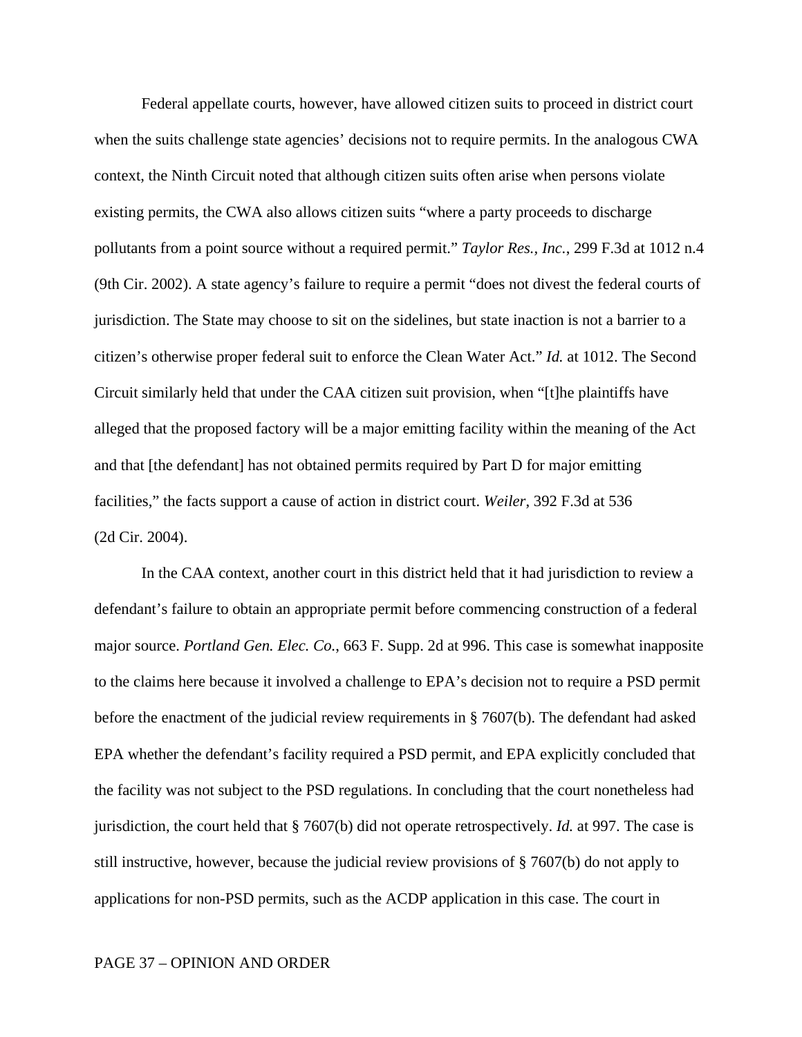Federal appellate courts, however, have allowed citizen suits to proceed in district court when the suits challenge state agencies' decisions not to require permits. In the analogous CWA context, the Ninth Circuit noted that although citizen suits often arise when persons violate existing permits, the CWA also allows citizen suits "where a party proceeds to discharge pollutants from a point source without a required permit." *Taylor Res., Inc.*, 299 F.3d at 1012 n.4 (9th Cir. 2002). A state agency's failure to require a permit "does not divest the federal courts of jurisdiction. The State may choose to sit on the sidelines, but state inaction is not a barrier to a citizen's otherwise proper federal suit to enforce the Clean Water Act." *Id.* at 1012. The Second Circuit similarly held that under the CAA citizen suit provision, when "[t]he plaintiffs have alleged that the proposed factory will be a major emitting facility within the meaning of the Act and that [the defendant] has not obtained permits required by Part D for major emitting facilities," the facts support a cause of action in district court. *Weiler*, 392 F.3d at 536 (2d Cir. 2004).

In the CAA context, another court in this district held that it had jurisdiction to review a defendant's failure to obtain an appropriate permit before commencing construction of a federal major source. *Portland Gen. Elec. Co.*, 663 F. Supp. 2d at 996. This case is somewhat inapposite to the claims here because it involved a challenge to EPA's decision not to require a PSD permit before the enactment of the judicial review requirements in § 7607(b). The defendant had asked EPA whether the defendant's facility required a PSD permit, and EPA explicitly concluded that the facility was not subject to the PSD regulations. In concluding that the court nonetheless had jurisdiction, the court held that § 7607(b) did not operate retrospectively. *Id.* at 997. The case is still instructive, however, because the judicial review provisions of § 7607(b) do not apply to applications for non-PSD permits, such as the ACDP application in this case. The court in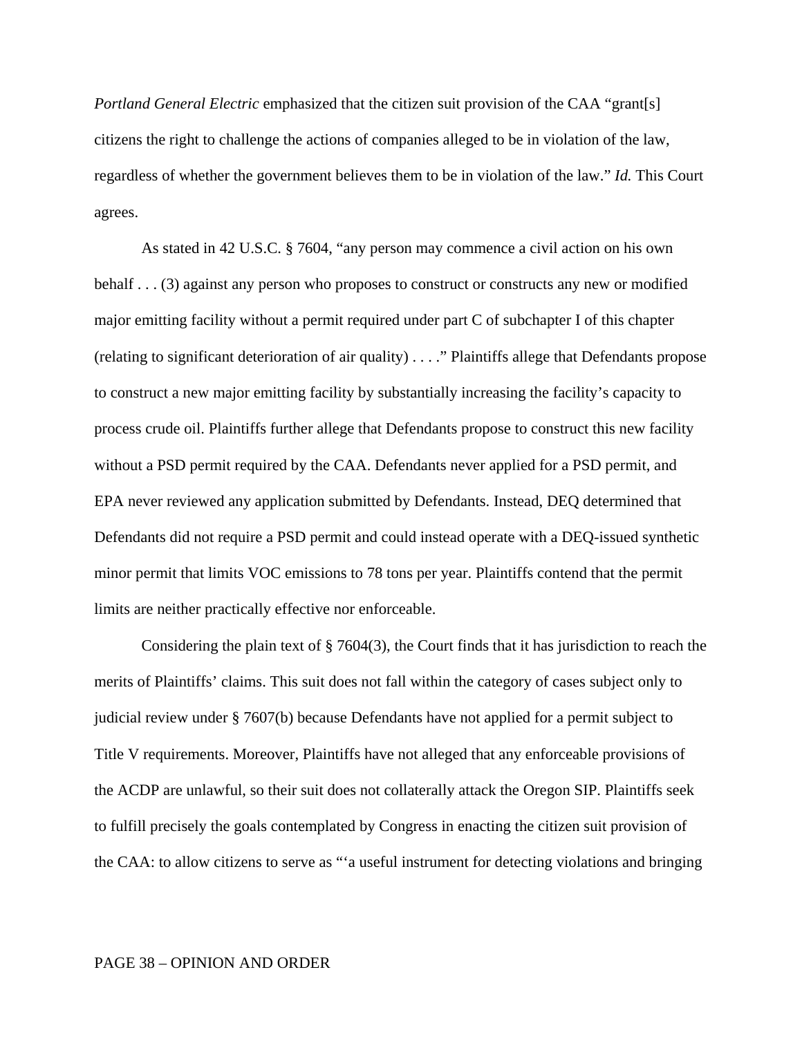*Portland General Electric* emphasized that the citizen suit provision of the CAA "grant[s] citizens the right to challenge the actions of companies alleged to be in violation of the law, regardless of whether the government believes them to be in violation of the law." *Id.* This Court agrees.

As stated in 42 U.S.C. § 7604, "any person may commence a civil action on his own behalf . . . (3) against any person who proposes to construct or constructs any new or modified major emitting facility without a permit required under part C of subchapter I of this chapter (relating to significant deterioration of air quality) . . . ." Plaintiffs allege that Defendants propose to construct a new major emitting facility by substantially increasing the facility's capacity to process crude oil. Plaintiffs further allege that Defendants propose to construct this new facility without a PSD permit required by the CAA. Defendants never applied for a PSD permit, and EPA never reviewed any application submitted by Defendants. Instead, DEQ determined that Defendants did not require a PSD permit and could instead operate with a DEQ-issued synthetic minor permit that limits VOC emissions to 78 tons per year. Plaintiffs contend that the permit limits are neither practically effective nor enforceable.

Considering the plain text of § 7604(3), the Court finds that it has jurisdiction to reach the merits of Plaintiffs' claims. This suit does not fall within the category of cases subject only to judicial review under § 7607(b) because Defendants have not applied for a permit subject to Title V requirements. Moreover, Plaintiffs have not alleged that any enforceable provisions of the ACDP are unlawful, so their suit does not collaterally attack the Oregon SIP. Plaintiffs seek to fulfill precisely the goals contemplated by Congress in enacting the citizen suit provision of the CAA: to allow citizens to serve as "'a useful instrument for detecting violations and bringing

### PAGE 38 – OPINION AND ORDER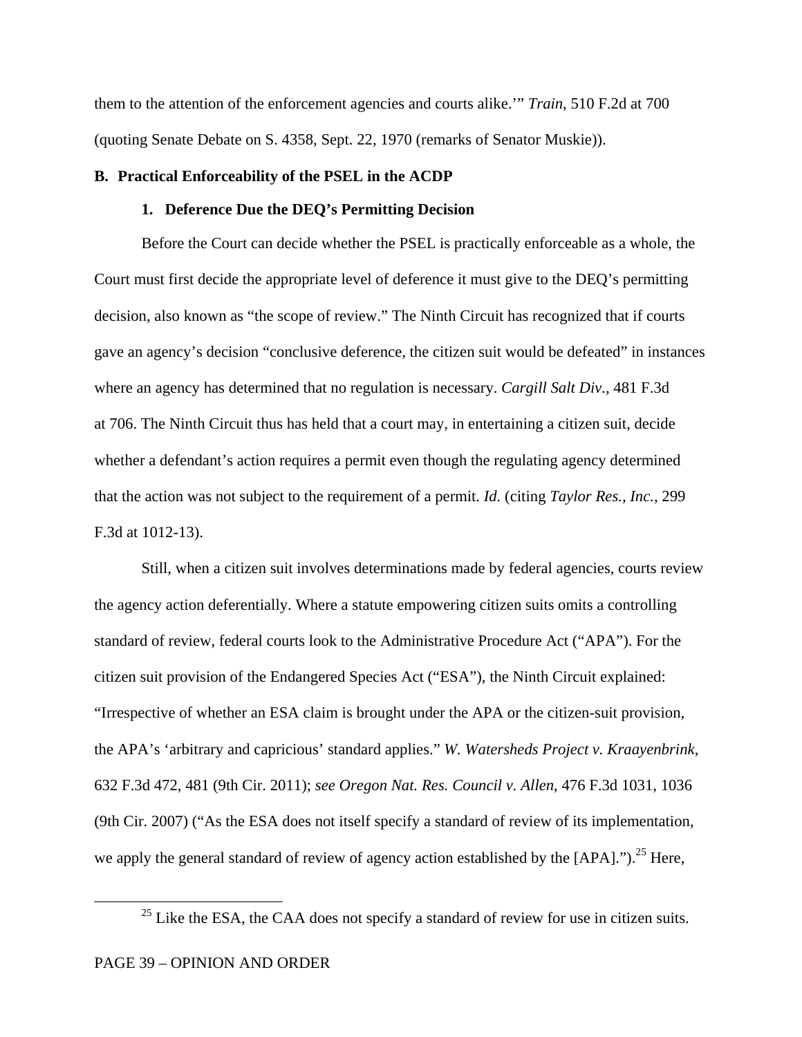them to the attention of the enforcement agencies and courts alike.'" *Train*, 510 F.2d at 700 (quoting Senate Debate on S. 4358, Sept. 22, 1970 (remarks of Senator Muskie)).

## **B. Practical Enforceability of the PSEL in the ACDP**

## **1. Deference Due the DEQ's Permitting Decision**

Before the Court can decide whether the PSEL is practically enforceable as a whole, the Court must first decide the appropriate level of deference it must give to the DEQ's permitting decision, also known as "the scope of review." The Ninth Circuit has recognized that if courts gave an agency's decision "conclusive deference, the citizen suit would be defeated" in instances where an agency has determined that no regulation is necessary. *Cargill Salt Div.*, 481 F.3d at 706. The Ninth Circuit thus has held that a court may, in entertaining a citizen suit, decide whether a defendant's action requires a permit even though the regulating agency determined that the action was not subject to the requirement of a permit. *Id.* (citing *Taylor Res., Inc.*, 299 F.3d at 1012-13).

Still, when a citizen suit involves determinations made by federal agencies, courts review the agency action deferentially. Where a statute empowering citizen suits omits a controlling standard of review, federal courts look to the Administrative Procedure Act ("APA"). For the citizen suit provision of the Endangered Species Act ("ESA"), the Ninth Circuit explained: "Irrespective of whether an ESA claim is brought under the APA or the citizen-suit provision, the APA's 'arbitrary and capricious' standard applies." *W. Watersheds Project v. Kraayenbrink*, 632 F.3d 472, 481 (9th Cir. 2011); *see Oregon Nat. Res. Council v. Allen*, 476 F.3d 1031, 1036 (9th Cir. 2007) ("As the ESA does not itself specify a standard of review of its implementation, we apply the general standard of review of agency action established by the [APA].").<sup>25</sup> Here,

<u>.</u>

 $^{25}$  Like the ESA, the CAA does not specify a standard of review for use in citizen suits.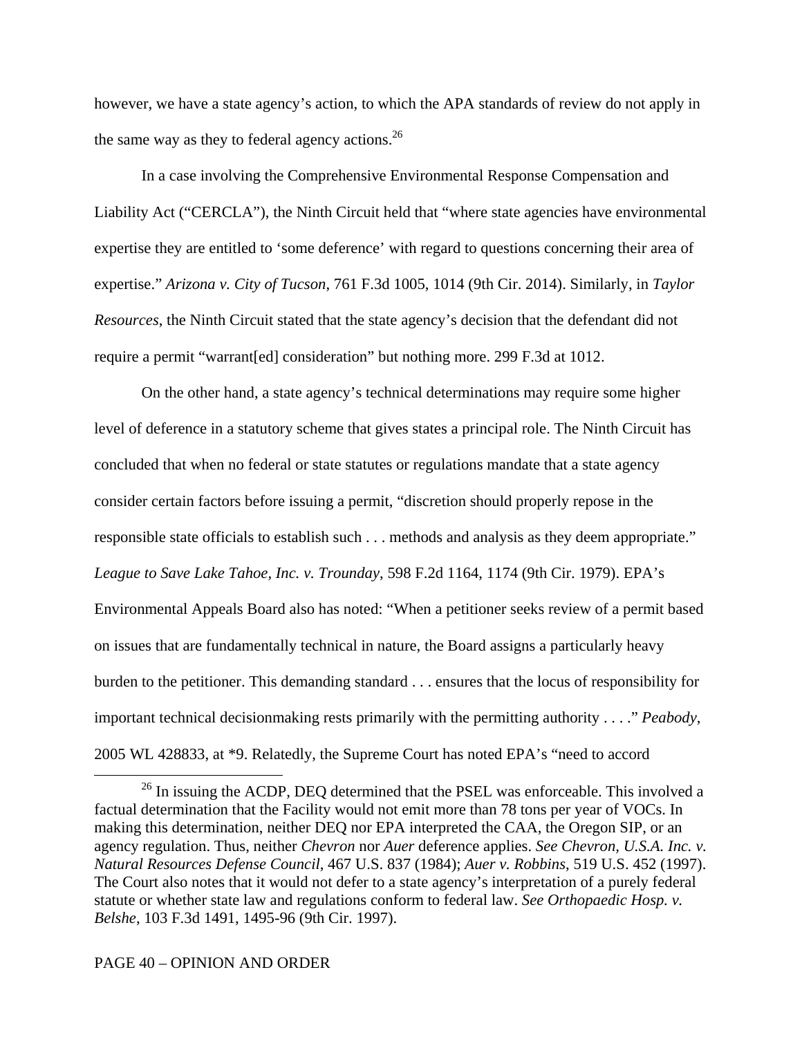however, we have a state agency's action, to which the APA standards of review do not apply in the same way as they to federal agency actions. $26$ 

In a case involving the Comprehensive Environmental Response Compensation and Liability Act ("CERCLA"), the Ninth Circuit held that "where state agencies have environmental expertise they are entitled to 'some deference' with regard to questions concerning their area of expertise." *Arizona v. City of Tucson*, 761 F.3d 1005, 1014 (9th Cir. 2014). Similarly, in *Taylor Resources*, the Ninth Circuit stated that the state agency's decision that the defendant did not require a permit "warrant[ed] consideration" but nothing more. 299 F.3d at 1012.

On the other hand, a state agency's technical determinations may require some higher level of deference in a statutory scheme that gives states a principal role. The Ninth Circuit has concluded that when no federal or state statutes or regulations mandate that a state agency consider certain factors before issuing a permit, "discretion should properly repose in the responsible state officials to establish such . . . methods and analysis as they deem appropriate." *League to Save Lake Tahoe, Inc. v. Trounday*, 598 F.2d 1164, 1174 (9th Cir. 1979). EPA's Environmental Appeals Board also has noted: "When a petitioner seeks review of a permit based on issues that are fundamentally technical in nature, the Board assigns a particularly heavy burden to the petitioner. This demanding standard . . . ensures that the locus of responsibility for important technical decisionmaking rests primarily with the permitting authority . . . ." *Peabody*, 2005 WL 428833, at \*9. Relatedly, the Supreme Court has noted EPA's "need to accord

<sup>&</sup>lt;sup>26</sup> In issuing the ACDP, DEQ determined that the PSEL was enforceable. This involved a factual determination that the Facility would not emit more than 78 tons per year of VOCs. In making this determination, neither DEQ nor EPA interpreted the CAA, the Oregon SIP, or an agency regulation. Thus, neither *Chevron* nor *Auer* deference applies. *See Chevron, U.S.A. Inc. v. Natural Resources Defense Council*, 467 U.S. 837 (1984); *Auer v. Robbins*, 519 U.S. 452 (1997). The Court also notes that it would not defer to a state agency's interpretation of a purely federal statute or whether state law and regulations conform to federal law. *See Orthopaedic Hosp. v. Belshe*, 103 F.3d 1491, 1495-96 (9th Cir. 1997).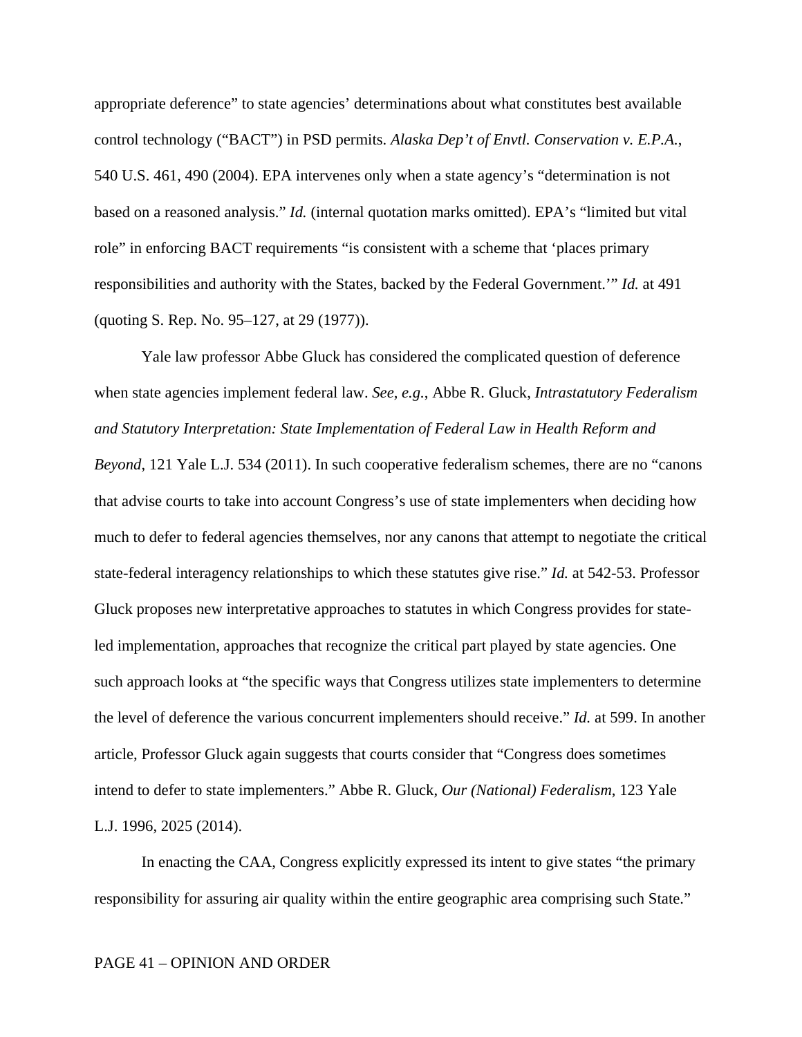appropriate deference" to state agencies' determinations about what constitutes best available control technology ("BACT") in PSD permits. *Alaska Dep't of Envtl. Conservation v. E.P.A.*, 540 U.S. 461, 490 (2004). EPA intervenes only when a state agency's "determination is not based on a reasoned analysis." *Id.* (internal quotation marks omitted). EPA's "limited but vital role" in enforcing BACT requirements "is consistent with a scheme that 'places primary responsibilities and authority with the States, backed by the Federal Government.'" *Id.* at 491 (quoting S. Rep. No. 95–127, at 29 (1977)).

Yale law professor Abbe Gluck has considered the complicated question of deference when state agencies implement federal law. *See, e.g.*, Abbe R. Gluck, *Intrastatutory Federalism and Statutory Interpretation: State Implementation of Federal Law in Health Reform and Beyond*, 121 Yale L.J. 534 (2011). In such cooperative federalism schemes, there are no "canons that advise courts to take into account Congress's use of state implementers when deciding how much to defer to federal agencies themselves, nor any canons that attempt to negotiate the critical state-federal interagency relationships to which these statutes give rise." *Id.* at 542-53. Professor Gluck proposes new interpretative approaches to statutes in which Congress provides for stateled implementation, approaches that recognize the critical part played by state agencies. One such approach looks at "the specific ways that Congress utilizes state implementers to determine the level of deference the various concurrent implementers should receive." *Id.* at 599. In another article, Professor Gluck again suggests that courts consider that "Congress does sometimes intend to defer to state implementers." Abbe R. Gluck, *Our (National) Federalism*, 123 Yale L.J. 1996, 2025 (2014).

In enacting the CAA, Congress explicitly expressed its intent to give states "the primary responsibility for assuring air quality within the entire geographic area comprising such State."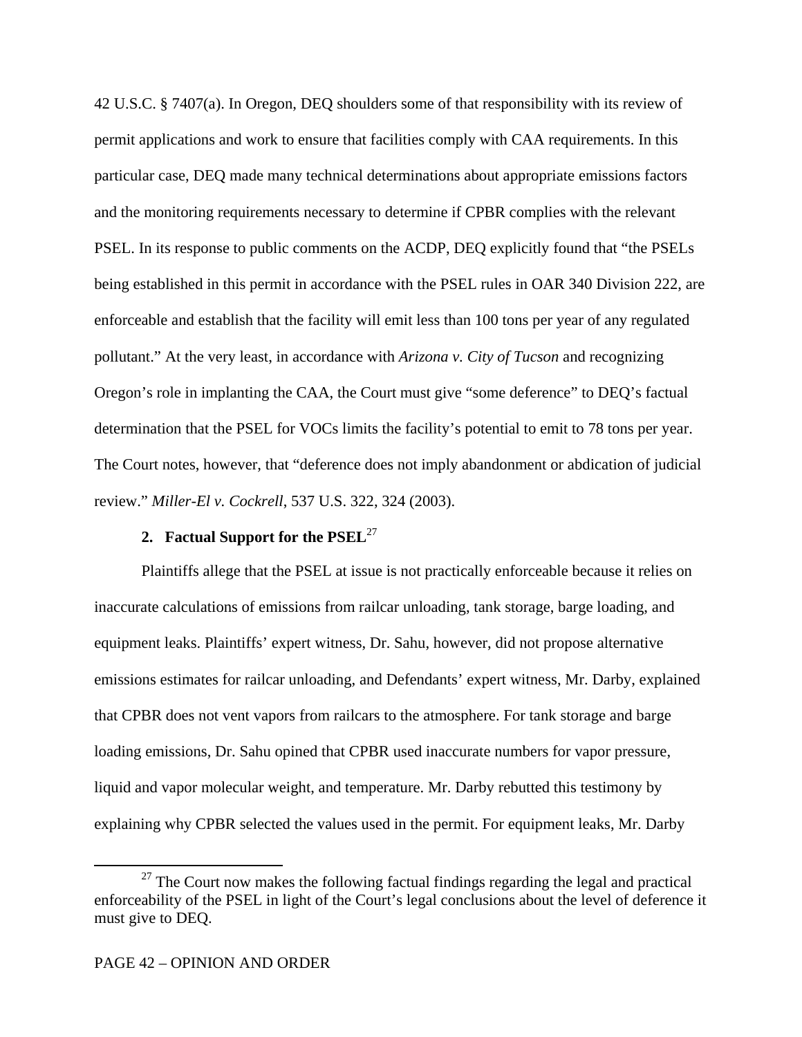42 U.S.C. § 7407(a). In Oregon, DEQ shoulders some of that responsibility with its review of permit applications and work to ensure that facilities comply with CAA requirements. In this particular case, DEQ made many technical determinations about appropriate emissions factors and the monitoring requirements necessary to determine if CPBR complies with the relevant PSEL. In its response to public comments on the ACDP, DEQ explicitly found that "the PSELs being established in this permit in accordance with the PSEL rules in OAR 340 Division 222, are enforceable and establish that the facility will emit less than 100 tons per year of any regulated pollutant." At the very least, in accordance with *Arizona v. City of Tucson* and recognizing Oregon's role in implanting the CAA, the Court must give "some deference" to DEQ's factual determination that the PSEL for VOCs limits the facility's potential to emit to 78 tons per year. The Court notes, however, that "deference does not imply abandonment or abdication of judicial review." *Miller-El v. Cockrell*, 537 U.S. 322, 324 (2003).

## **2. Factual Support for the PSEL**<sup>27</sup>

Plaintiffs allege that the PSEL at issue is not practically enforceable because it relies on inaccurate calculations of emissions from railcar unloading, tank storage, barge loading, and equipment leaks. Plaintiffs' expert witness, Dr. Sahu, however, did not propose alternative emissions estimates for railcar unloading, and Defendants' expert witness, Mr. Darby, explained that CPBR does not vent vapors from railcars to the atmosphere. For tank storage and barge loading emissions, Dr. Sahu opined that CPBR used inaccurate numbers for vapor pressure, liquid and vapor molecular weight, and temperature. Mr. Darby rebutted this testimony by explaining why CPBR selected the values used in the permit. For equipment leaks, Mr. Darby

 $27$  The Court now makes the following factual findings regarding the legal and practical enforceability of the PSEL in light of the Court's legal conclusions about the level of deference it must give to DEQ.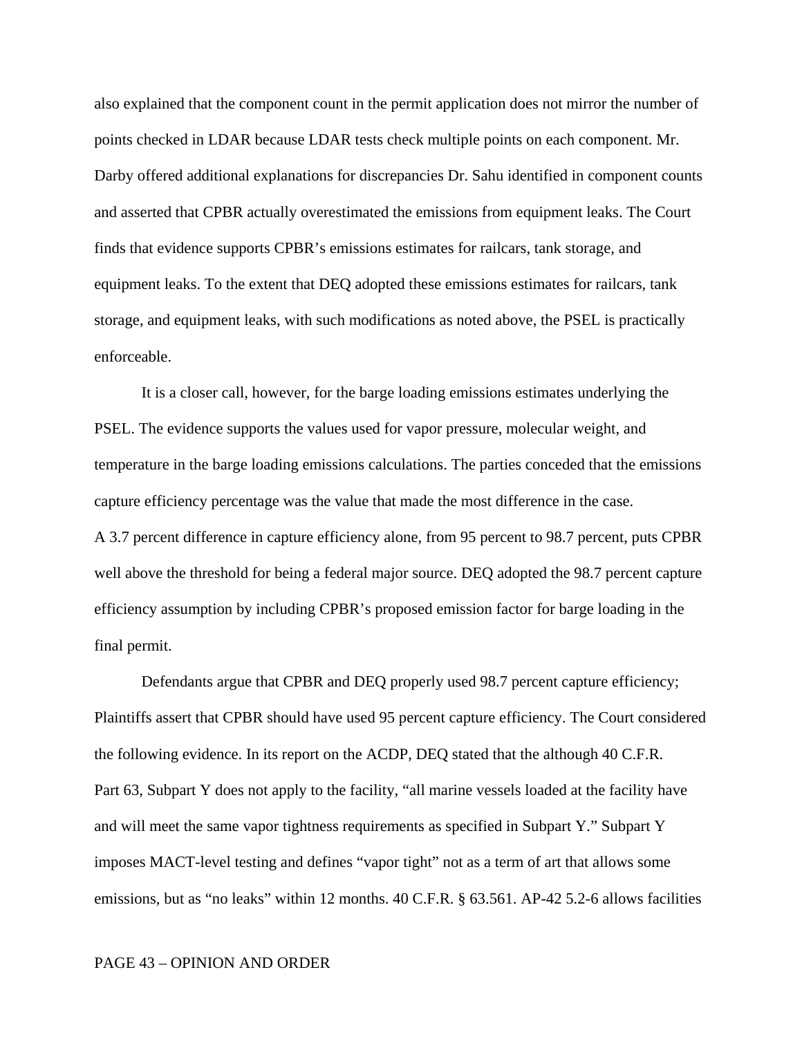also explained that the component count in the permit application does not mirror the number of points checked in LDAR because LDAR tests check multiple points on each component. Mr. Darby offered additional explanations for discrepancies Dr. Sahu identified in component counts and asserted that CPBR actually overestimated the emissions from equipment leaks. The Court finds that evidence supports CPBR's emissions estimates for railcars, tank storage, and equipment leaks. To the extent that DEQ adopted these emissions estimates for railcars, tank storage, and equipment leaks, with such modifications as noted above, the PSEL is practically enforceable.

It is a closer call, however, for the barge loading emissions estimates underlying the PSEL. The evidence supports the values used for vapor pressure, molecular weight, and temperature in the barge loading emissions calculations. The parties conceded that the emissions capture efficiency percentage was the value that made the most difference in the case. A 3.7 percent difference in capture efficiency alone, from 95 percent to 98.7 percent, puts CPBR well above the threshold for being a federal major source. DEQ adopted the 98.7 percent capture efficiency assumption by including CPBR's proposed emission factor for barge loading in the final permit.

Defendants argue that CPBR and DEQ properly used 98.7 percent capture efficiency; Plaintiffs assert that CPBR should have used 95 percent capture efficiency. The Court considered the following evidence. In its report on the ACDP, DEQ stated that the although 40 C.F.R. Part 63, Subpart Y does not apply to the facility, "all marine vessels loaded at the facility have and will meet the same vapor tightness requirements as specified in Subpart Y." Subpart Y imposes MACT-level testing and defines "vapor tight" not as a term of art that allows some emissions, but as "no leaks" within 12 months. 40 C.F.R. § 63.561. AP-42 5.2-6 allows facilities

### PAGE 43 – OPINION AND ORDER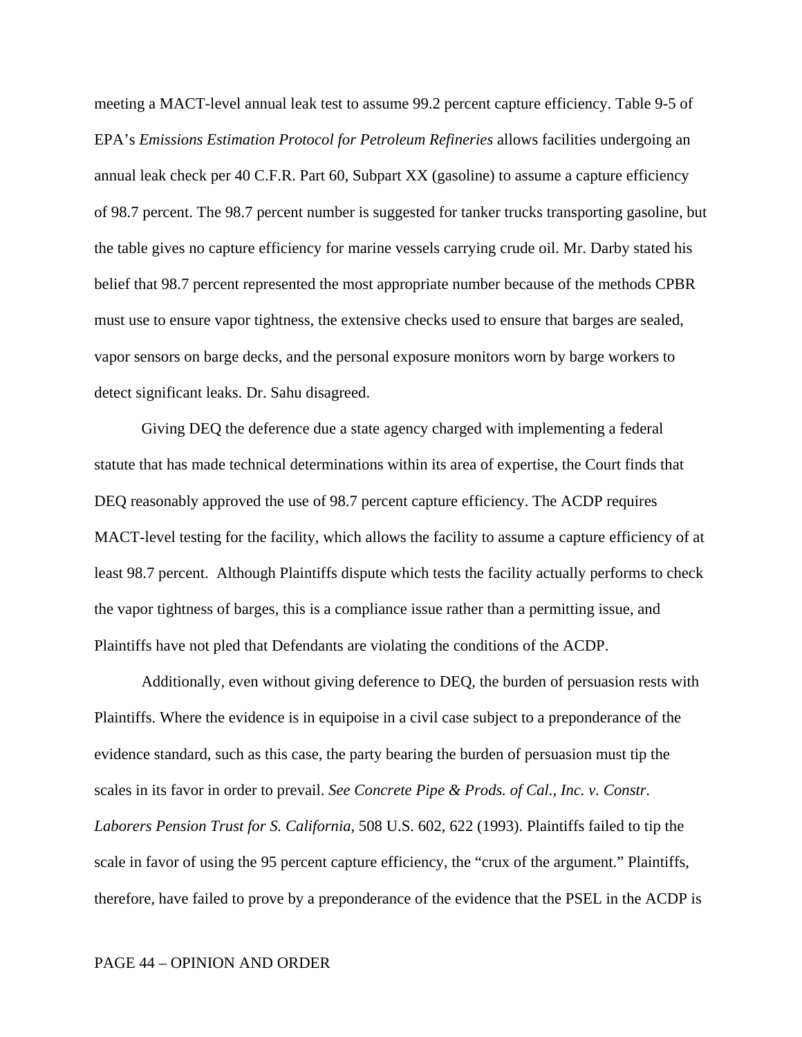meeting a MACT-level annual leak test to assume 99.2 percent capture efficiency. Table 9-5 of EPA's *Emissions Estimation Protocol for Petroleum Refineries* allows facilities undergoing an annual leak check per 40 C.F.R. Part 60, Subpart XX (gasoline) to assume a capture efficiency of 98.7 percent. The 98.7 percent number is suggested for tanker trucks transporting gasoline, but the table gives no capture efficiency for marine vessels carrying crude oil. Mr. Darby stated his belief that 98.7 percent represented the most appropriate number because of the methods CPBR must use to ensure vapor tightness, the extensive checks used to ensure that barges are sealed, vapor sensors on barge decks, and the personal exposure monitors worn by barge workers to detect significant leaks. Dr. Sahu disagreed.

Giving DEQ the deference due a state agency charged with implementing a federal statute that has made technical determinations within its area of expertise, the Court finds that DEQ reasonably approved the use of 98.7 percent capture efficiency. The ACDP requires MACT-level testing for the facility, which allows the facility to assume a capture efficiency of at least 98.7 percent. Although Plaintiffs dispute which tests the facility actually performs to check the vapor tightness of barges, this is a compliance issue rather than a permitting issue, and Plaintiffs have not pled that Defendants are violating the conditions of the ACDP.

Additionally, even without giving deference to DEQ, the burden of persuasion rests with Plaintiffs. Where the evidence is in equipoise in a civil case subject to a preponderance of the evidence standard, such as this case, the party bearing the burden of persuasion must tip the scales in its favor in order to prevail. *See Concrete Pipe & Prods. of Cal., Inc. v. Constr. Laborers Pension Trust for S. California*, 508 U.S. 602, 622 (1993). Plaintiffs failed to tip the scale in favor of using the 95 percent capture efficiency, the "crux of the argument." Plaintiffs, therefore, have failed to prove by a preponderance of the evidence that the PSEL in the ACDP is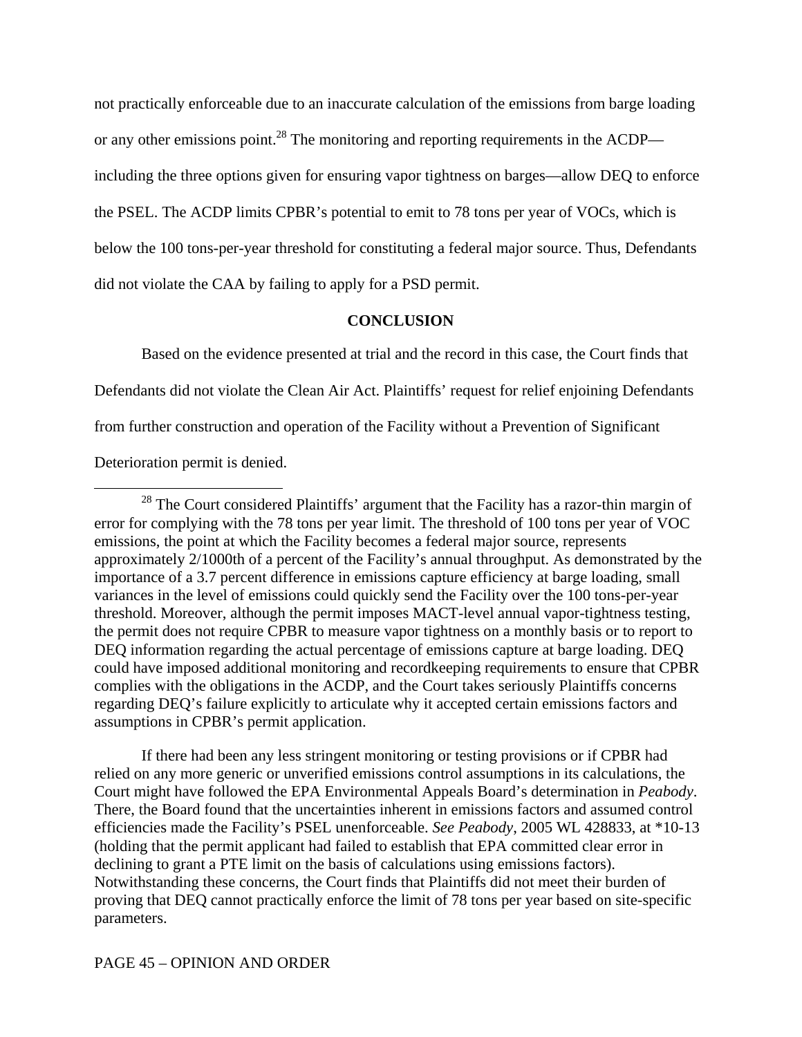not practically enforceable due to an inaccurate calculation of the emissions from barge loading or any other emissions point.<sup>28</sup> The monitoring and reporting requirements in the ACDP including the three options given for ensuring vapor tightness on barges—allow DEQ to enforce the PSEL. The ACDP limits CPBR's potential to emit to 78 tons per year of VOCs, which is below the 100 tons-per-year threshold for constituting a federal major source. Thus, Defendants did not violate the CAA by failing to apply for a PSD permit.

## **CONCLUSION**

Based on the evidence presented at trial and the record in this case, the Court finds that Defendants did not violate the Clean Air Act. Plaintiffs' request for relief enjoining Defendants from further construction and operation of the Facility without a Prevention of Significant Deterioration permit is denied.

If there had been any less stringent monitoring or testing provisions or if CPBR had relied on any more generic or unverified emissions control assumptions in its calculations, the Court might have followed the EPA Environmental Appeals Board's determination in *Peabody*. There, the Board found that the uncertainties inherent in emissions factors and assumed control efficiencies made the Facility's PSEL unenforceable. *See Peabody*, 2005 WL 428833, at \*10-13 (holding that the permit applicant had failed to establish that EPA committed clear error in declining to grant a PTE limit on the basis of calculations using emissions factors). Notwithstanding these concerns, the Court finds that Plaintiffs did not meet their burden of proving that DEQ cannot practically enforce the limit of 78 tons per year based on site-specific parameters.

<u>.</u>

<sup>&</sup>lt;sup>28</sup> The Court considered Plaintiffs' argument that the Facility has a razor-thin margin of error for complying with the 78 tons per year limit. The threshold of 100 tons per year of VOC emissions, the point at which the Facility becomes a federal major source, represents approximately 2/1000th of a percent of the Facility's annual throughput. As demonstrated by the importance of a 3.7 percent difference in emissions capture efficiency at barge loading, small variances in the level of emissions could quickly send the Facility over the 100 tons-per-year threshold. Moreover, although the permit imposes MACT-level annual vapor-tightness testing, the permit does not require CPBR to measure vapor tightness on a monthly basis or to report to DEQ information regarding the actual percentage of emissions capture at barge loading. DEQ could have imposed additional monitoring and recordkeeping requirements to ensure that CPBR complies with the obligations in the ACDP, and the Court takes seriously Plaintiffs concerns regarding DEQ's failure explicitly to articulate why it accepted certain emissions factors and assumptions in CPBR's permit application.